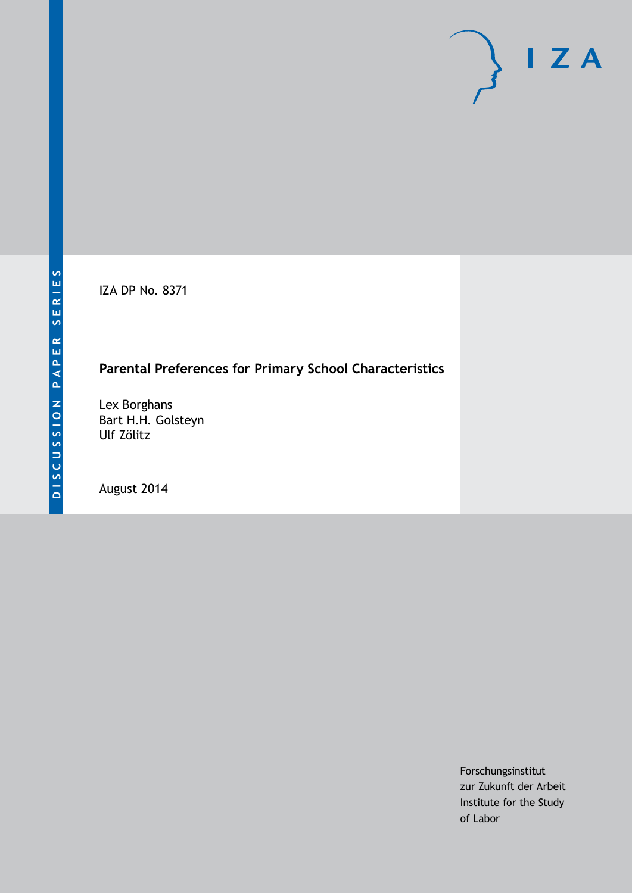IZA DP No. 8371

# **Parental Preferences for Primary School Characteristics**

Lex Borghans Bart H.H. Golsteyn Ulf Zölitz

August 2014

Forschungsinstitut zur Zukunft der Arbeit Institute for the Study of Labor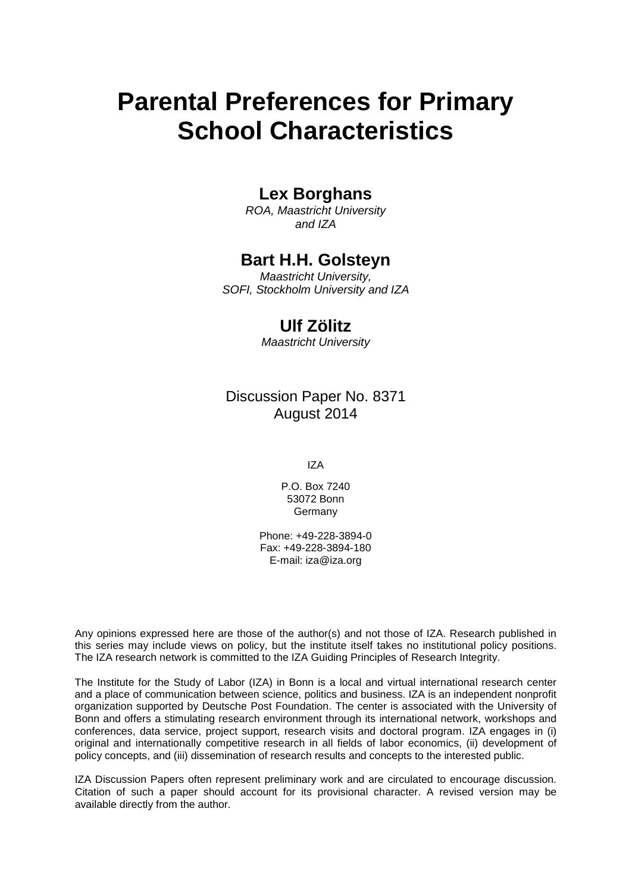# **Parental Preferences for Primary School Characteristics**

# **Lex Borghans**

*ROA, Maastricht University and IZA*

### **Bart H.H. Golsteyn**

*Maastricht University, SOFI, Stockholm University and IZA*

### **Ulf Zölitz**

*Maastricht University*

Discussion Paper No. 8371 August 2014

IZA

P.O. Box 7240 53072 Bonn Germany

Phone: +49-228-3894-0 Fax: +49-228-3894-180 E-mail: [iza@iza.org](mailto:iza@iza.org)

Any opinions expressed here are those of the author(s) and not those of IZA. Research published in this series may include views on policy, but the institute itself takes no institutional policy positions. The IZA research network is committed to the IZA Guiding Principles of Research Integrity.

The Institute for the Study of Labor (IZA) in Bonn is a local and virtual international research center and a place of communication between science, politics and business. IZA is an independent nonprofit organization supported by Deutsche Post Foundation. The center is associated with the University of Bonn and offers a stimulating research environment through its international network, workshops and conferences, data service, project support, research visits and doctoral program. IZA engages in (i) original and internationally competitive research in all fields of labor economics, (ii) development of policy concepts, and (iii) dissemination of research results and concepts to the interested public.

<span id="page-1-0"></span>IZA Discussion Papers often represent preliminary work and are circulated to encourage discussion. Citation of such a paper should account for its provisional character. A revised version may be available directly from the author.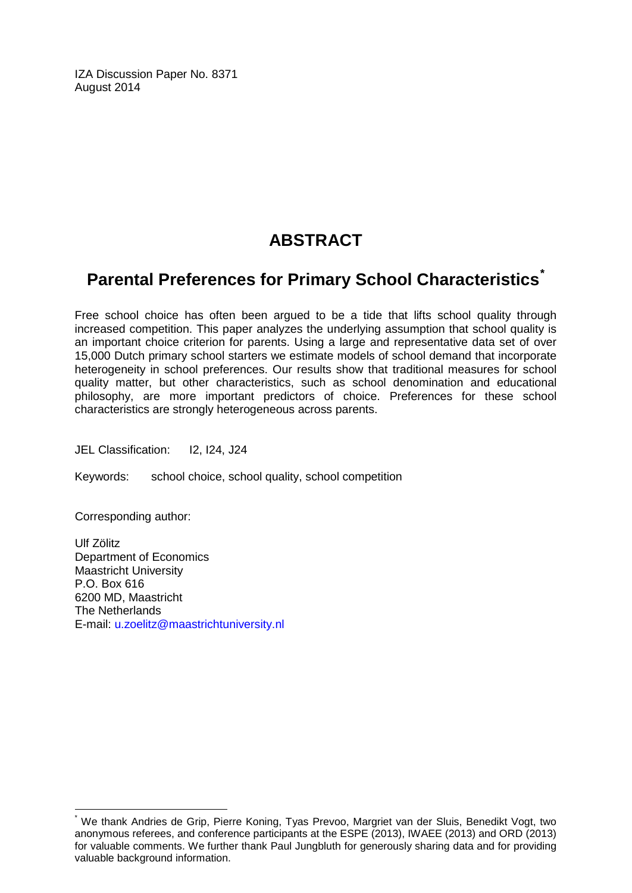IZA Discussion Paper No. 8371 August 2014

# **ABSTRACT**

# **Parental Preferences for Primary School Characteristics[\\*](#page-1-0)**

Free school choice has often been argued to be a tide that lifts school quality through increased competition. This paper analyzes the underlying assumption that school quality is an important choice criterion for parents. Using a large and representative data set of over 15,000 Dutch primary school starters we estimate models of school demand that incorporate heterogeneity in school preferences. Our results show that traditional measures for school quality matter, but other characteristics, such as school denomination and educational philosophy, are more important predictors of choice. Preferences for these school characteristics are strongly heterogeneous across parents.

JEL Classification: I2, I24, J24

Keywords: school choice, school quality, school competition

Corresponding author:

Ulf Zölitz Department of Economics Maastricht University P.O. Box 616 6200 MD, Maastricht The Netherlands E-mail: [u.zoelitz@maastrichtuniversity.nl](mailto:u.zoelitz@maastrichtuniversity.nl)

We thank Andries de Grip, Pierre Koning, Tyas Prevoo, Margriet van der Sluis, Benedikt Vogt, two anonymous referees, and conference participants at the ESPE (2013), IWAEE (2013) and ORD (2013) for valuable comments. We further thank Paul Jungbluth for generously sharing data and for providing valuable background information.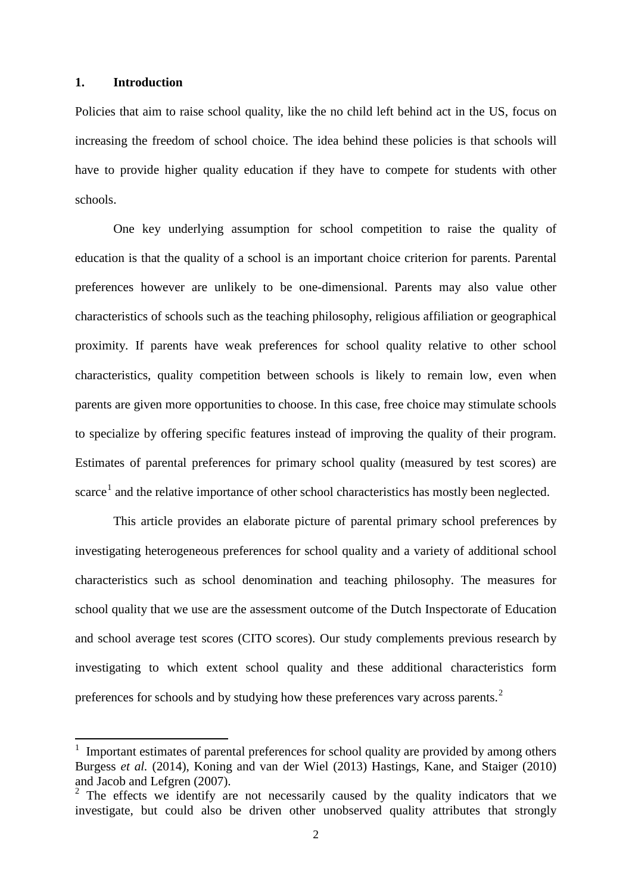#### **1. Introduction**

Policies that aim to raise school quality, like the no child left behind act in the US, focus on increasing the freedom of school choice. The idea behind these policies is that schools will have to provide higher quality education if they have to compete for students with other schools.

One key underlying assumption for school competition to raise the quality of education is that the quality of a school is an important choice criterion for parents. Parental preferences however are unlikely to be one-dimensional. Parents may also value other characteristics of schools such as the teaching philosophy, religious affiliation or geographical proximity. If parents have weak preferences for school quality relative to other school characteristics, quality competition between schools is likely to remain low, even when parents are given more opportunities to choose. In this case, free choice may stimulate schools to specialize by offering specific features instead of improving the quality of their program. Estimates of parental preferences for primary school quality (measured by test scores) are scarce<sup>1</sup> and the relative importance of other school characteristics has mostly been neglected.

This article provides an elaborate picture of parental primary school preferences by investigating heterogeneous preferences for school quality and a variety of additional school characteristics such as school denomination and teaching philosophy. The measures for school quality that we use are the assessment outcome of the Dutch Inspectorate of Education and school average test scores (CITO scores). Our study complements previous research by investigating to which extent school quality and these additional characteristics form preferences for schools and by studying how these preferences vary across parents.<sup>[2](#page-3-0)</sup>

<span id="page-3-1"></span>1 Important estimates of parental preferences for school quality are provided by among others Burgess *et al.* (2014), Koning and van der Wiel (2013) Hastings, Kane, and Staiger (2010) and Jacob and Lefgren (2007).

<span id="page-3-0"></span><sup>&</sup>lt;sup>2</sup> The effects we identify are not necessarily caused by the quality indicators that we investigate, but could also be driven other unobserved quality attributes that strongly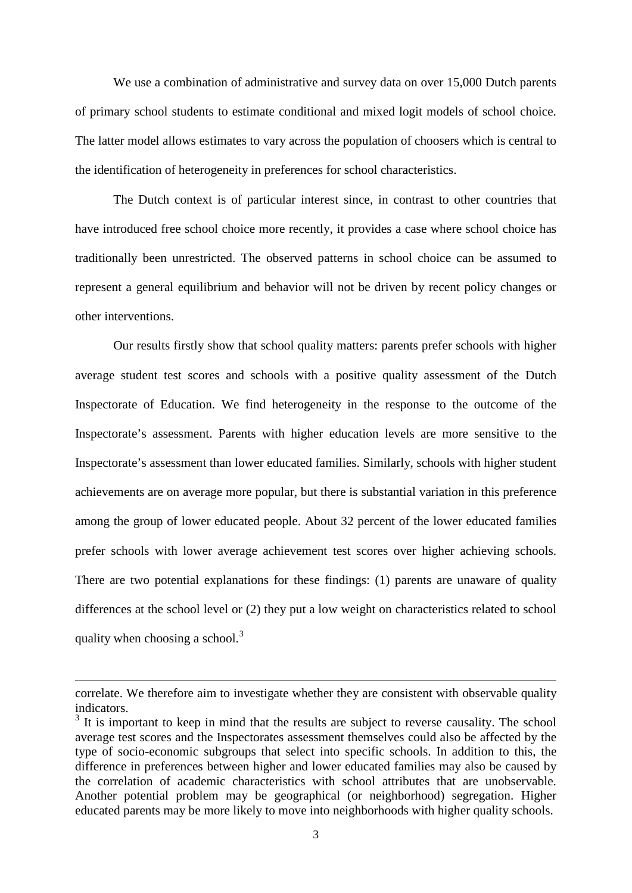We use a combination of administrative and survey data on over 15,000 Dutch parents of primary school students to estimate conditional and mixed logit models of school choice. The latter model allows estimates to vary across the population of choosers which is central to the identification of heterogeneity in preferences for school characteristics.

The Dutch context is of particular interest since, in contrast to other countries that have introduced free school choice more recently, it provides a case where school choice has traditionally been unrestricted. The observed patterns in school choice can be assumed to represent a general equilibrium and behavior will not be driven by recent policy changes or other interventions.

Our results firstly show that school quality matters: parents prefer schools with higher average student test scores and schools with a positive quality assessment of the Dutch Inspectorate of Education. We find heterogeneity in the response to the outcome of the Inspectorate's assessment. Parents with higher education levels are more sensitive to the Inspectorate's assessment than lower educated families. Similarly, schools with higher student achievements are on average more popular, but there is substantial variation in this preference among the group of lower educated people. About 32 percent of the lower educated families prefer schools with lower average achievement test scores over higher achieving schools. There are two potential explanations for these findings: (1) parents are unaware of quality differences at the school level or (2) they put a low weight on characteristics related to school quality when choosing a school. $3$ 

**.** 

correlate. We therefore aim to investigate whether they are consistent with observable quality indicators.

<span id="page-4-0"></span> $3$  It is important to keep in mind that the results are subject to reverse causality. The school average test scores and the Inspectorates assessment themselves could also be affected by the type of socio-economic subgroups that select into specific schools. In addition to this, the difference in preferences between higher and lower educated families may also be caused by the correlation of academic characteristics with school attributes that are unobservable. Another potential problem may be geographical (or neighborhood) segregation. Higher educated parents may be more likely to move into neighborhoods with higher quality schools.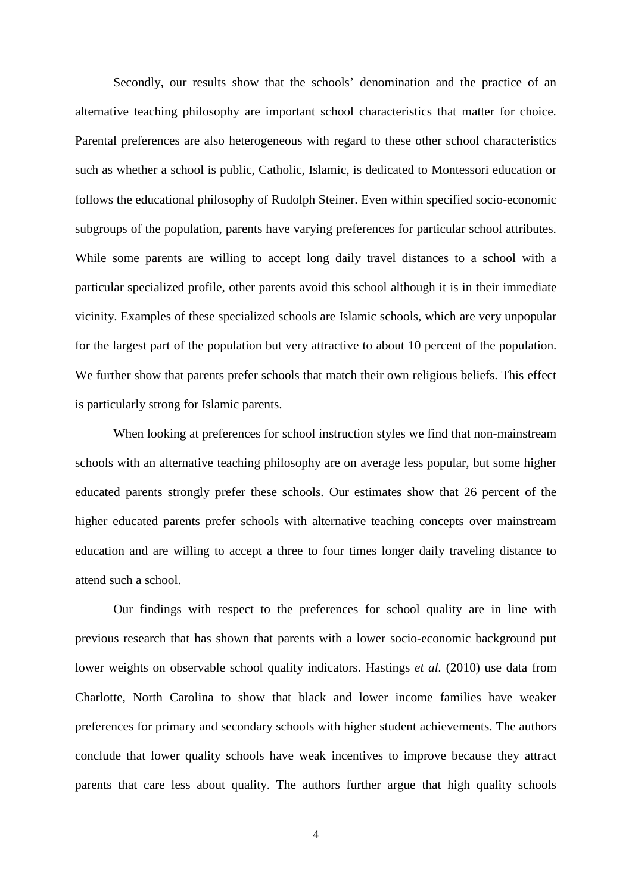Secondly, our results show that the schools' denomination and the practice of an alternative teaching philosophy are important school characteristics that matter for choice. Parental preferences are also heterogeneous with regard to these other school characteristics such as whether a school is public, Catholic, Islamic, is dedicated to Montessori education or follows the educational philosophy of Rudolph Steiner. Even within specified socio-economic subgroups of the population, parents have varying preferences for particular school attributes. While some parents are willing to accept long daily travel distances to a school with a particular specialized profile, other parents avoid this school although it is in their immediate vicinity. Examples of these specialized schools are Islamic schools, which are very unpopular for the largest part of the population but very attractive to about 10 percent of the population. We further show that parents prefer schools that match their own religious beliefs. This effect is particularly strong for Islamic parents.

When looking at preferences for school instruction styles we find that non-mainstream schools with an alternative teaching philosophy are on average less popular, but some higher educated parents strongly prefer these schools. Our estimates show that 26 percent of the higher educated parents prefer schools with alternative teaching concepts over mainstream education and are willing to accept a three to four times longer daily traveling distance to attend such a school.

Our findings with respect to the preferences for school quality are in line with previous research that has shown that parents with a lower socio-economic background put lower weights on observable school quality indicators. Hastings *et al.* (2010) use data from Charlotte, North Carolina to show that black and lower income families have weaker preferences for primary and secondary schools with higher student achievements. The authors conclude that lower quality schools have weak incentives to improve because they attract parents that care less about quality. The authors further argue that high quality schools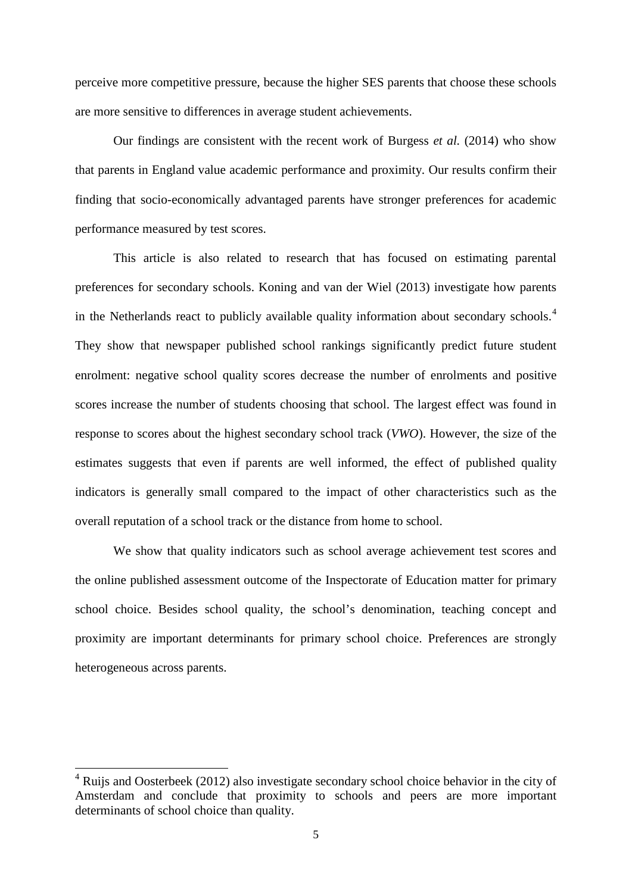perceive more competitive pressure, because the higher SES parents that choose these schools are more sensitive to differences in average student achievements.

Our findings are consistent with the recent work of Burgess *et al.* (2014) who show that parents in England value academic performance and proximity. Our results confirm their finding that socio-economically advantaged parents have stronger preferences for academic performance measured by test scores.

This article is also related to research that has focused on estimating parental preferences for secondary schools. Koning and van der Wiel (2013) investigate how parents in the Netherlands react to publicly available quality information about secondary schools.<sup>[4](#page-4-0)</sup> They show that newspaper published school rankings significantly predict future student enrolment: negative school quality scores decrease the number of enrolments and positive scores increase the number of students choosing that school. The largest effect was found in response to scores about the highest secondary school track (*VWO*). However, the size of the estimates suggests that even if parents are well informed, the effect of published quality indicators is generally small compared to the impact of other characteristics such as the overall reputation of a school track or the distance from home to school.

We show that quality indicators such as school average achievement test scores and the online published assessment outcome of the Inspectorate of Education matter for primary school choice. Besides school quality, the school's denomination, teaching concept and proximity are important determinants for primary school choice. Preferences are strongly heterogeneous across parents.

<span id="page-6-0"></span> $4$  Ruijs and Oosterbeek (2012) also investigate secondary school choice behavior in the city of Amsterdam and conclude that proximity to schools and peers are more important determinants of school choice than quality.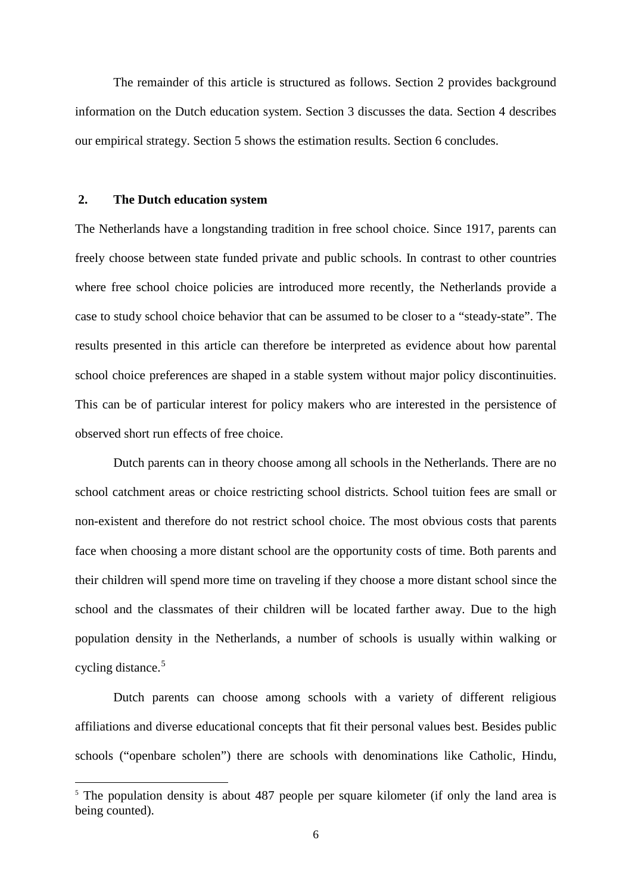The remainder of this article is structured as follows. Section 2 provides background information on the Dutch education system. Section 3 discusses the data. Section 4 describes our empirical strategy. Section 5 shows the estimation results. Section 6 concludes.

#### **2. The Dutch education system**

 $\overline{a}$ 

The Netherlands have a longstanding tradition in free school choice. Since 1917, parents can freely choose between state funded private and public schools. In contrast to other countries where free school choice policies are introduced more recently, the Netherlands provide a case to study school choice behavior that can be assumed to be closer to a "steady-state". The results presented in this article can therefore be interpreted as evidence about how parental school choice preferences are shaped in a stable system without major policy discontinuities. This can be of particular interest for policy makers who are interested in the persistence of observed short run effects of free choice.

Dutch parents can in theory choose among all schools in the Netherlands. There are no school catchment areas or choice restricting school districts. School tuition fees are small or non-existent and therefore do not restrict school choice. The most obvious costs that parents face when choosing a more distant school are the opportunity costs of time. Both parents and their children will spend more time on traveling if they choose a more distant school since the school and the classmates of their children will be located farther away. Due to the high population density in the Netherlands, a number of schools is usually within walking or cycling distance.<sup>[5](#page-6-0)</sup>

Dutch parents can choose among schools with a variety of different religious affiliations and diverse educational concepts that fit their personal values best. Besides public schools ("openbare scholen") there are schools with denominations like Catholic, Hindu,

<span id="page-7-0"></span><sup>&</sup>lt;sup>5</sup> The population density is about 487 people per square kilometer (if only the land area is being counted).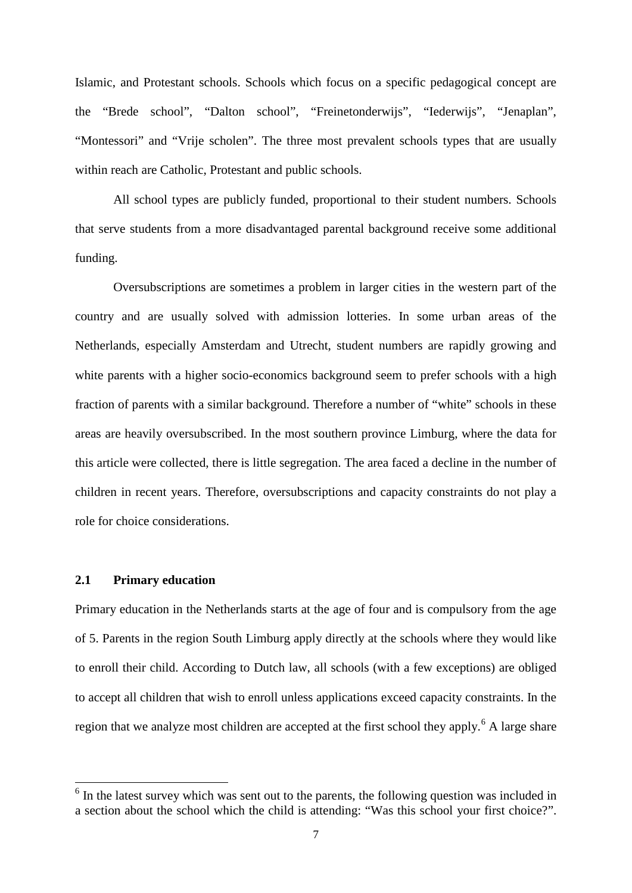Islamic, and Protestant schools. Schools which focus on a specific pedagogical concept are the "Brede school", "Dalton school", "Freinetonderwijs", "Iederwijs", "Jenaplan", "Montessori" and "Vrije scholen". The three most prevalent schools types that are usually within reach are Catholic, Protestant and public schools.

All school types are publicly funded, proportional to their student numbers. Schools that serve students from a more disadvantaged parental background receive some additional funding.

Oversubscriptions are sometimes a problem in larger cities in the western part of the country and are usually solved with admission lotteries. In some urban areas of the Netherlands, especially Amsterdam and Utrecht, student numbers are rapidly growing and white parents with a higher socio-economics background seem to prefer schools with a high fraction of parents with a similar background. Therefore a number of "white" schools in these areas are heavily oversubscribed. In the most southern province Limburg, where the data for this article were collected, there is little segregation. The area faced a decline in the number of children in recent years. Therefore, oversubscriptions and capacity constraints do not play a role for choice considerations.

#### **2.1 Primary education**

Primary education in the Netherlands starts at the age of four and is compulsory from the age of 5. Parents in the region South Limburg apply directly at the schools where they would like to enroll their child. According to Dutch law, all schools (with a few exceptions) are obliged to accept all children that wish to enroll unless applications exceed capacity constraints. In the region that we analyze most children are accepted at the first school they apply.<sup>[6](#page-7-0)</sup> A large share

<span id="page-8-0"></span> $6$  In the latest survey which was sent out to the parents, the following question was included in a section about the school which the child is attending: "Was this school your first choice?".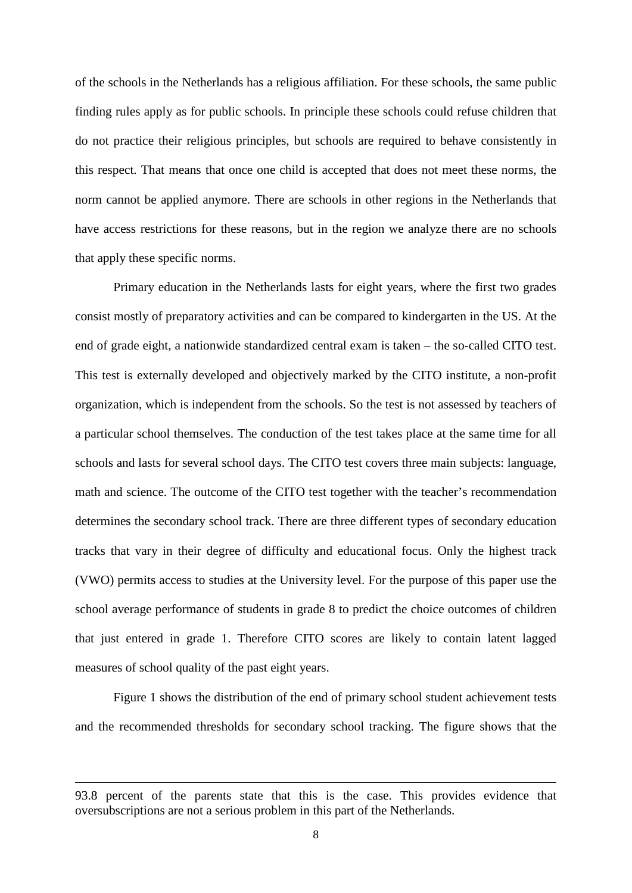of the schools in the Netherlands has a religious affiliation. For these schools, the same public finding rules apply as for public schools. In principle these schools could refuse children that do not practice their religious principles, but schools are required to behave consistently in this respect. That means that once one child is accepted that does not meet these norms, the norm cannot be applied anymore. There are schools in other regions in the Netherlands that have access restrictions for these reasons, but in the region we analyze there are no schools that apply these specific norms.

Primary education in the Netherlands lasts for eight years, where the first two grades consist mostly of preparatory activities and can be compared to kindergarten in the US. At the end of grade eight, a nationwide standardized central exam is taken – the so-called CITO test. This test is externally developed and objectively marked by the CITO institute, a non-profit organization, which is independent from the schools. So the test is not assessed by teachers of a particular school themselves. The conduction of the test takes place at the same time for all schools and lasts for several school days. The CITO test covers three main subjects: language, math and science. The outcome of the CITO test together with the teacher's recommendation determines the secondary school track. There are three different types of secondary education tracks that vary in their degree of difficulty and educational focus. Only the highest track (VWO) permits access to studies at the University level. For the purpose of this paper use the school average performance of students in grade 8 to predict the choice outcomes of children that just entered in grade 1. Therefore CITO scores are likely to contain latent lagged measures of school quality of the past eight years.

Figure 1 shows the distribution of the end of primary school student achievement tests and the recommended thresholds for secondary school tracking. The figure shows that the

<sup>93.8</sup> percent of the parents state that this is the case. This provides evidence that oversubscriptions are not a serious problem in this part of the Netherlands.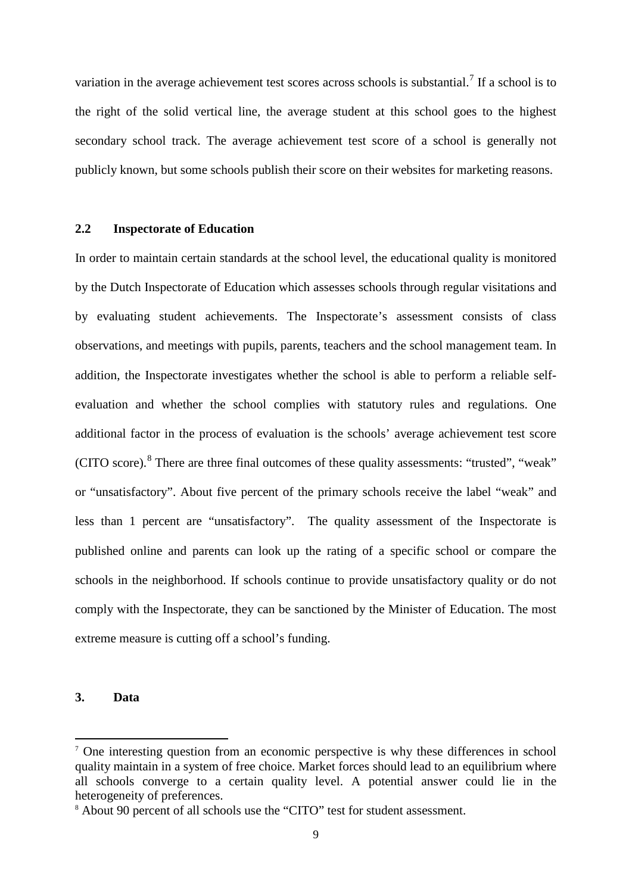variation in the average achievement test scores across schools is substantial.<sup>[7](#page-8-0)</sup> If a school is to the right of the solid vertical line, the average student at this school goes to the highest secondary school track. The average achievement test score of a school is generally not publicly known, but some schools publish their score on their websites for marketing reasons.

#### **2.2 Inspectorate of Education**

In order to maintain certain standards at the school level, the educational quality is monitored by the Dutch Inspectorate of Education which assesses schools through regular visitations and by evaluating student achievements. The Inspectorate's assessment consists of class observations, and meetings with pupils, parents, teachers and the school management team. In addition, the Inspectorate investigates whether the school is able to perform a reliable selfevaluation and whether the school complies with statutory rules and regulations. One additional factor in the process of evaluation is the schools' average achievement test score (CITO score).[8](#page-10-0) There are three final outcomes of these quality assessments: "trusted", "weak" or "unsatisfactory". About five percent of the primary schools receive the label "weak" and less than 1 percent are "unsatisfactory". The quality assessment of the Inspectorate is published online and parents can look up the rating of a specific school or compare the schools in the neighborhood. If schools continue to provide unsatisfactory quality or do not comply with the Inspectorate, they can be sanctioned by the Minister of Education. The most extreme measure is cutting off a school's funding.

#### **3. Data**

 $<sup>7</sup>$  One interesting question from an economic perspective is why these differences in school</sup> quality maintain in a system of free choice. Market forces should lead to an equilibrium where all schools converge to a certain quality level. A potential answer could lie in the heterogeneity of preferences.

<span id="page-10-1"></span><span id="page-10-0"></span><sup>&</sup>lt;sup>8</sup> About 90 percent of all schools use the "CITO" test for student assessment.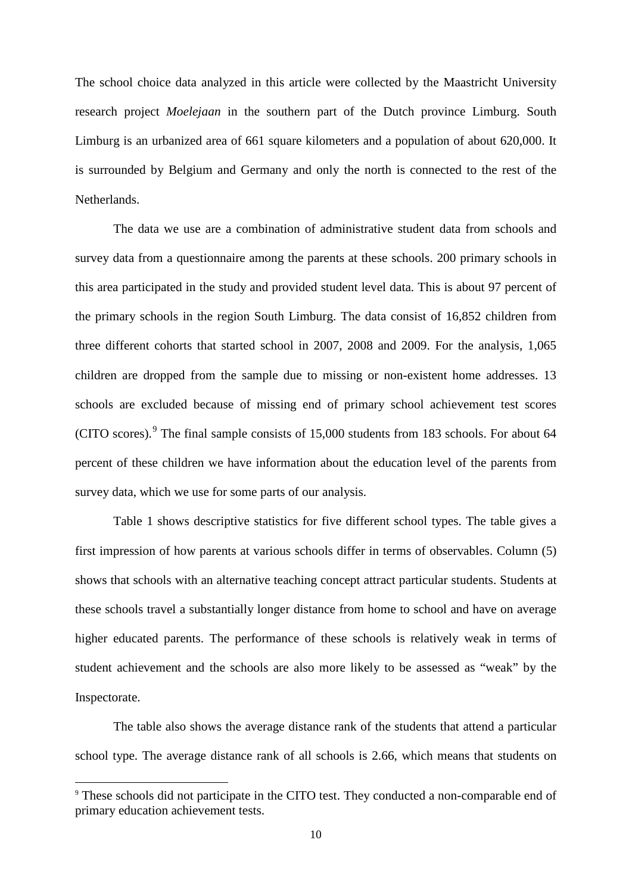The school choice data analyzed in this article were collected by the Maastricht University research project *Moelejaan* in the southern part of the Dutch province Limburg. South Limburg is an urbanized area of 661 square kilometers and a population of about 620,000. It is surrounded by Belgium and Germany and only the north is connected to the rest of the Netherlands.

The data we use are a combination of administrative student data from schools and survey data from a questionnaire among the parents at these schools. 200 primary schools in this area participated in the study and provided student level data. This is about 97 percent of the primary schools in the region South Limburg. The data consist of 16,852 children from three different cohorts that started school in 2007, 2008 and 2009. For the analysis, 1,065 children are dropped from the sample due to missing or non-existent home addresses. 13 schools are excluded because of missing end of primary school achievement test scores (CITO scores).<sup>[9](#page-10-1)</sup> The final sample consists of  $15,000$  students from 183 schools. For about 64 percent of these children we have information about the education level of the parents from survey data, which we use for some parts of our analysis.

Table 1 shows descriptive statistics for five different school types. The table gives a first impression of how parents at various schools differ in terms of observables. Column (5) shows that schools with an alternative teaching concept attract particular students. Students at these schools travel a substantially longer distance from home to school and have on average higher educated parents. The performance of these schools is relatively weak in terms of student achievement and the schools are also more likely to be assessed as "weak" by the Inspectorate.

<span id="page-11-0"></span>The table also shows the average distance rank of the students that attend a particular school type. The average distance rank of all schools is 2.66, which means that students on

<sup>&</sup>lt;sup>9</sup> These schools did not participate in the CITO test. They conducted a non-comparable end of primary education achievement tests.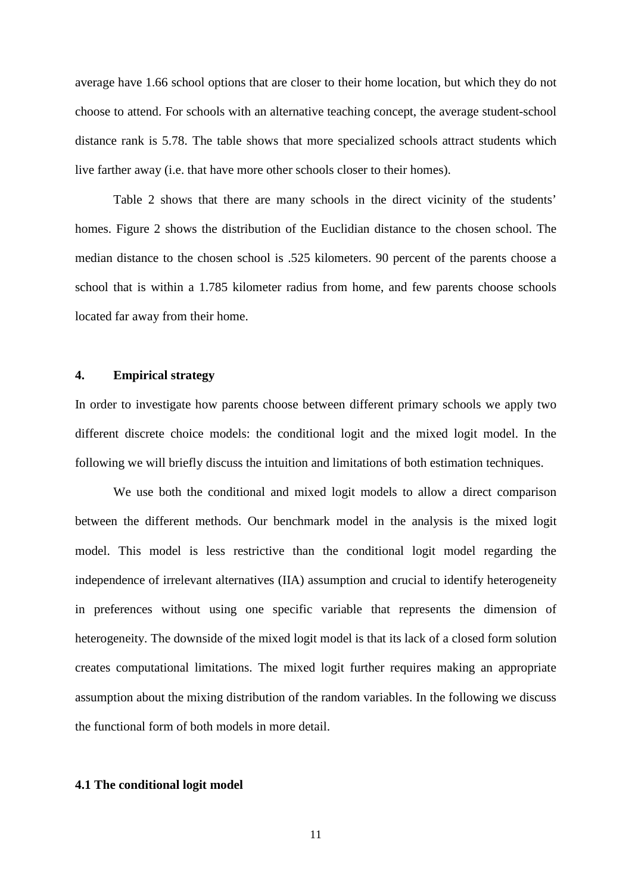average have 1.66 school options that are closer to their home location, but which they do not choose to attend. For schools with an alternative teaching concept, the average student-school distance rank is 5.78. The table shows that more specialized schools attract students which live farther away (i.e. that have more other schools closer to their homes).

Table 2 shows that there are many schools in the direct vicinity of the students' homes. Figure 2 shows the distribution of the Euclidian distance to the chosen school. The median distance to the chosen school is .525 kilometers. 90 percent of the parents choose a school that is within a 1.785 kilometer radius from home, and few parents choose schools located far away from their home.

#### **4. Empirical strategy**

In order to investigate how parents choose between different primary schools we apply two different discrete choice models: the conditional logit and the mixed logit model. In the following we will briefly discuss the intuition and limitations of both estimation techniques.

We use both the conditional and mixed logit models to allow a direct comparison between the different methods. Our benchmark model in the analysis is the mixed logit model. This model is less restrictive than the conditional logit model regarding the independence of irrelevant alternatives (IIA) assumption and crucial to identify heterogeneity in preferences without using one specific variable that represents the dimension of heterogeneity. The downside of the mixed logit model is that its lack of a closed form solution creates computational limitations. The mixed logit further requires making an appropriate assumption about the mixing distribution of the random variables. In the following we discuss the functional form of both models in more detail.

#### **4.1 The conditional logit model**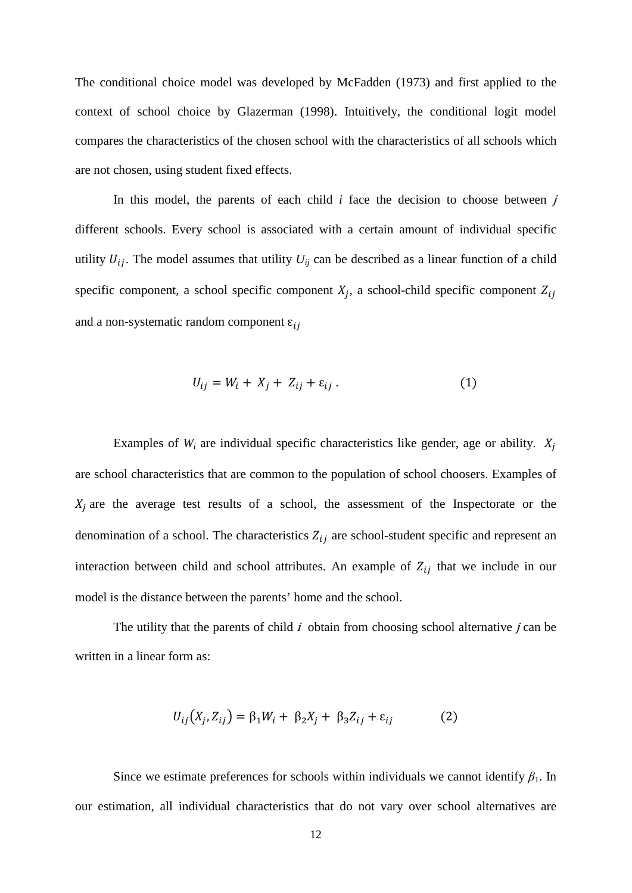The conditional choice model was developed by McFadden (1973) and first applied to the context of school choice by Glazerman (1998). Intuitively, the conditional logit model compares the characteristics of the chosen school with the characteristics of all schools which are not chosen, using student fixed effects.

In this model, the parents of each child  $i$  face the decision to choose between  $j$ different schools. Every school is associated with a certain amount of individual specific utility  $U_{ij}$ . The model assumes that utility  $U_{ij}$  can be described as a linear function of a child specific component, a school specific component  $X_j$ , a school-child specific component  $Z_{ij}$ and a non-systematic random component  $\varepsilon_{ii}$ 

$$
U_{ij} = W_i + X_j + Z_{ij} + \varepsilon_{ij} \,. \tag{1}
$$

Examples of  $W_i$  are individual specific characteristics like gender, age or ability.  $X_i$ are school characteristics that are common to the population of school choosers. Examples of  $X_i$  are the average test results of a school, the assessment of the Inspectorate or the denomination of a school. The characteristics  $Z_{ij}$  are school-student specific and represent an interaction between child and school attributes. An example of  $Z_{ij}$  that we include in our model is the distance between the parents' home and the school.

The utility that the parents of child  $\vec{i}$  obtain from choosing school alternative  $\vec{j}$  can be written in a linear form as:

$$
U_{ij}(X_j, Z_{ij}) = \beta_1 W_i + \beta_2 X_j + \beta_3 Z_{ij} + \varepsilon_{ij}
$$
 (2)

Since we estimate preferences for schools within individuals we cannot identify  $\beta_1$ . In our estimation, all individual characteristics that do not vary over school alternatives are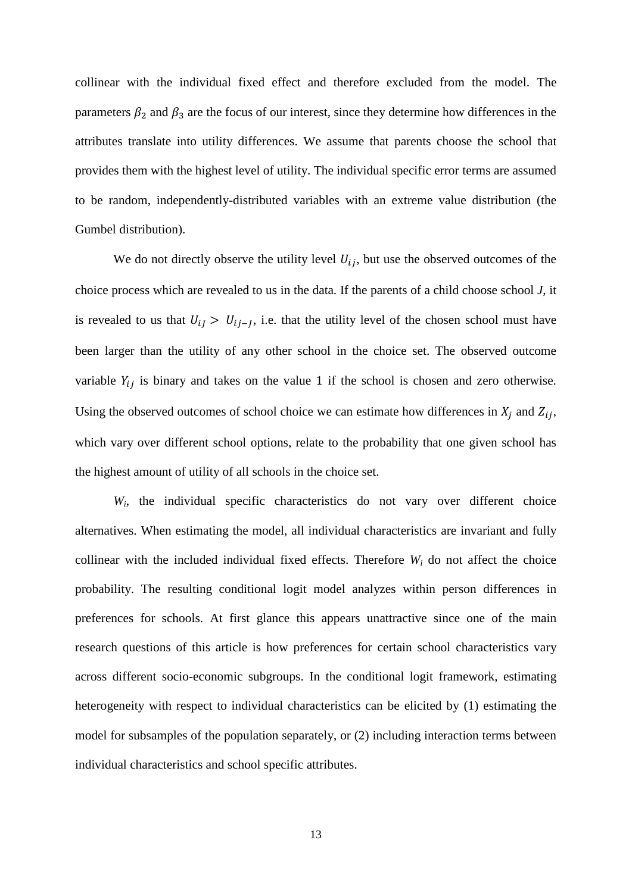collinear with the individual fixed effect and therefore excluded from the model. The parameters  $\beta_2$  and  $\beta_3$  are the focus of our interest, since they determine how differences in the attributes translate into utility differences. We assume that parents choose the school that provides them with the highest level of utility. The individual specific error terms are assumed to be random, independently-distributed variables with an extreme value distribution (the Gumbel distribution).

We do not directly observe the utility level  $U_{ij}$ , but use the observed outcomes of the choice process which are revealed to us in the data. If the parents of a child choose school *J*, it is revealed to us that  $U_{ij} > U_{ij-1}$ , i.e. that the utility level of the chosen school must have been larger than the utility of any other school in the choice set. The observed outcome variable  $Y_{ij}$  is binary and takes on the value 1 if the school is chosen and zero otherwise. Using the observed outcomes of school choice we can estimate how differences in  $X_j$  and  $Z_{ij}$ , which vary over different school options, relate to the probability that one given school has the highest amount of utility of all schools in the choice set.

*Wi*, the individual specific characteristics do not vary over different choice alternatives. When estimating the model, all individual characteristics are invariant and fully collinear with the included individual fixed effects. Therefore  $W_i$  do not affect the choice probability. The resulting conditional logit model analyzes within person differences in preferences for schools. At first glance this appears unattractive since one of the main research questions of this article is how preferences for certain school characteristics vary across different socio-economic subgroups. In the conditional logit framework, estimating heterogeneity with respect to individual characteristics can be elicited by (1) estimating the model for subsamples of the population separately, or (2) including interaction terms between individual characteristics and school specific attributes.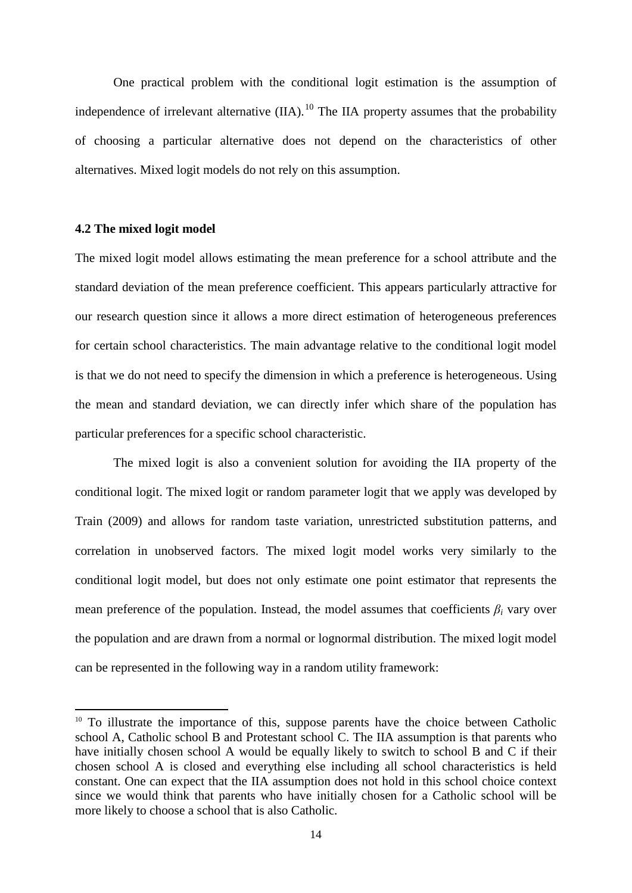One practical problem with the conditional logit estimation is the assumption of independence of irrelevant alternative  $(IIA)$ .<sup>[10](#page-11-0)</sup> The IIA property assumes that the probability of choosing a particular alternative does not depend on the characteristics of other alternatives. Mixed logit models do not rely on this assumption.

#### **4.2 The mixed logit model**

 $\overline{a}$ 

The mixed logit model allows estimating the mean preference for a school attribute and the standard deviation of the mean preference coefficient. This appears particularly attractive for our research question since it allows a more direct estimation of heterogeneous preferences for certain school characteristics. The main advantage relative to the conditional logit model is that we do not need to specify the dimension in which a preference is heterogeneous. Using the mean and standard deviation, we can directly infer which share of the population has particular preferences for a specific school characteristic.

The mixed logit is also a convenient solution for avoiding the IIA property of the conditional logit. The mixed logit or random parameter logit that we apply was developed by Train (2009) and allows for random taste variation, unrestricted substitution patterns, and correlation in unobserved factors. The mixed logit model works very similarly to the conditional logit model, but does not only estimate one point estimator that represents the mean preference of the population. Instead, the model assumes that coefficients  $\beta_i$  vary over the population and are drawn from a normal or lognormal distribution. The mixed logit model can be represented in the following way in a random utility framework:

<span id="page-15-0"></span> $10$  To illustrate the importance of this, suppose parents have the choice between Catholic school A, Catholic school B and Protestant school C. The IIA assumption is that parents who have initially chosen school A would be equally likely to switch to school B and C if their chosen school A is closed and everything else including all school characteristics is held constant. One can expect that the IIA assumption does not hold in this school choice context since we would think that parents who have initially chosen for a Catholic school will be more likely to choose a school that is also Catholic.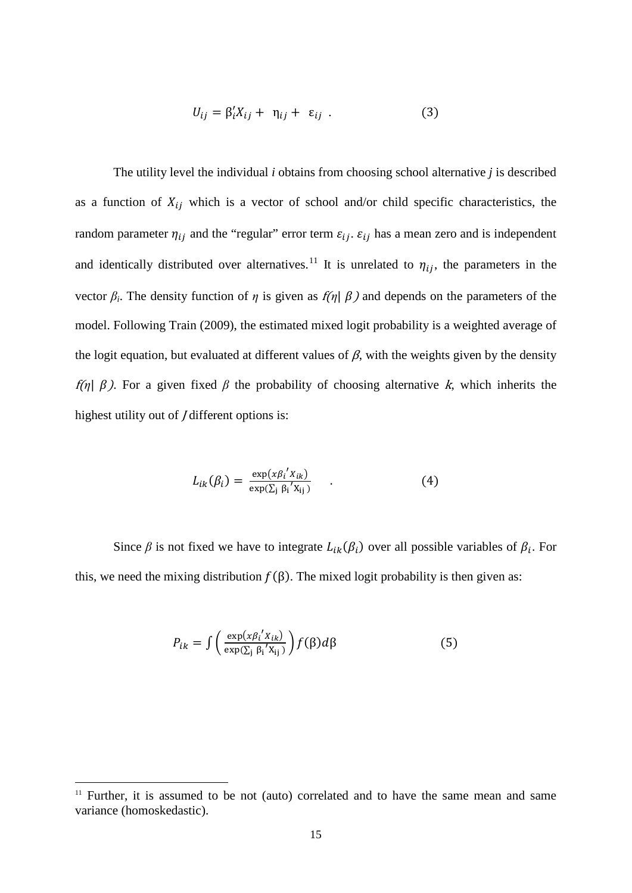$$
U_{ij} = \beta'_i X_{ij} + \eta_{ij} + \varepsilon_{ij} . \qquad (3)
$$

The utility level the individual *i* obtains from choosing school alternative *j* is described as a function of  $X_{ij}$  which is a vector of school and/or child specific characteristics, the random parameter  $\eta_{ij}$  and the "regular" error term  $\varepsilon_{ij}$ .  $\varepsilon_{ij}$  has a mean zero and is independent and identically distributed over alternatives.<sup>[11](#page-15-0)</sup> It is unrelated to  $\eta_{ij}$ , the parameters in the vector  $\beta_i$ . The density function of  $\eta$  is given as  $f(\eta | \beta)$  and depends on the parameters of the model. Following Train (2009), the estimated mixed logit probability is a weighted average of the logit equation, but evaluated at different values of  $\beta$ , with the weights given by the density *f(η)*  $β$ ). For a given fixed  $β$  the probability of choosing alternative k, which inherits the highest utility out of *J* different options is:

$$
L_{ik}(\beta_i) = \frac{\exp(x\beta_i'X_{ik})}{\exp(\Sigma_j \beta_i'X_{ij})} \qquad . \tag{4}
$$

<span id="page-16-0"></span>Since  $\beta$  is not fixed we have to integrate  $L_{ik}(\beta_i)$  over all possible variables of  $\beta_i$ . For this, we need the mixing distribution  $f(\beta)$ . The mixed logit probability is then given as:

$$
P_{ik} = \int \left( \frac{\exp(x\beta_i' x_{ik})}{\exp(\Sigma_j \beta_i' x_{ij})} \right) f(\beta) d\beta \tag{5}
$$

 $11$  Further, it is assumed to be not (auto) correlated and to have the same mean and same variance (homoskedastic).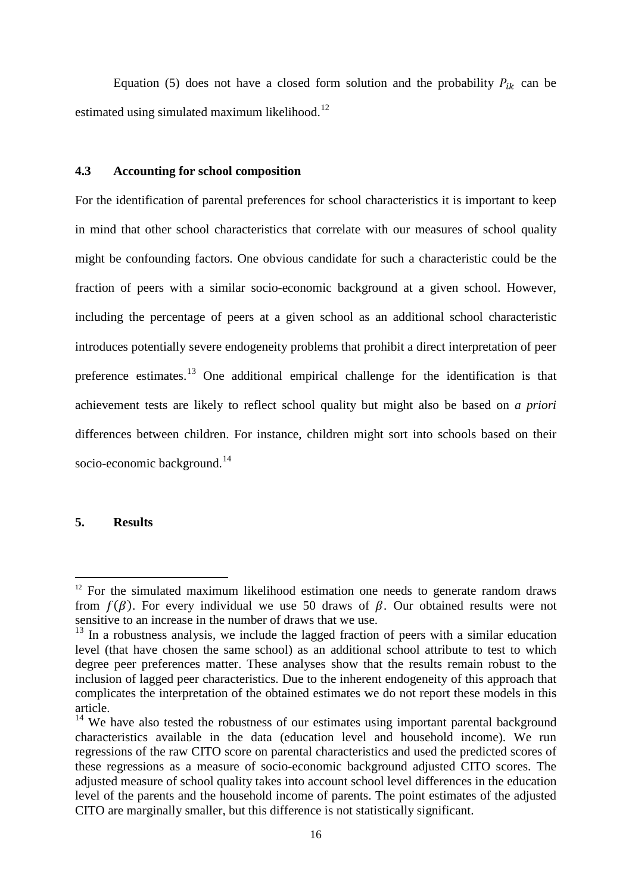Equation (5) does not have a closed form solution and the probability  $P_{ik}$  can be estimated using simulated maximum likelihood.<sup>[12](#page-16-0)</sup>

#### **4.3 Accounting for school composition**

For the identification of parental preferences for school characteristics it is important to keep in mind that other school characteristics that correlate with our measures of school quality might be confounding factors. One obvious candidate for such a characteristic could be the fraction of peers with a similar socio-economic background at a given school. However, including the percentage of peers at a given school as an additional school characteristic introduces potentially severe endogeneity problems that prohibit a direct interpretation of peer preference estimates.<sup>[13](#page-17-0)</sup> One additional empirical challenge for the identification is that achievement tests are likely to reflect school quality but might also be based on *a priori* differences between children. For instance, children might sort into schools based on their socio-economic background.<sup>[14](#page-17-1)</sup>

#### **5. Results**

 $12$  For the simulated maximum likelihood estimation one needs to generate random draws from  $f(\beta)$ . For every individual we use 50 draws of  $\beta$ . Our obtained results were not sensitive to an increase in the number of draws that we use.

<span id="page-17-0"></span> $13$  In a robustness analysis, we include the lagged fraction of peers with a similar education level (that have chosen the same school) as an additional school attribute to test to which degree peer preferences matter. These analyses show that the results remain robust to the inclusion of lagged peer characteristics. Due to the inherent endogeneity of this approach that complicates the interpretation of the obtained estimates we do not report these models in this article.

<span id="page-17-2"></span><span id="page-17-1"></span> $14$  We have also tested the robustness of our estimates using important parental background characteristics available in the data (education level and household income). We run regressions of the raw CITO score on parental characteristics and used the predicted scores of these regressions as a measure of socio-economic background adjusted CITO scores. The adjusted measure of school quality takes into account school level differences in the education level of the parents and the household income of parents. The point estimates of the adjusted CITO are marginally smaller, but this difference is not statistically significant.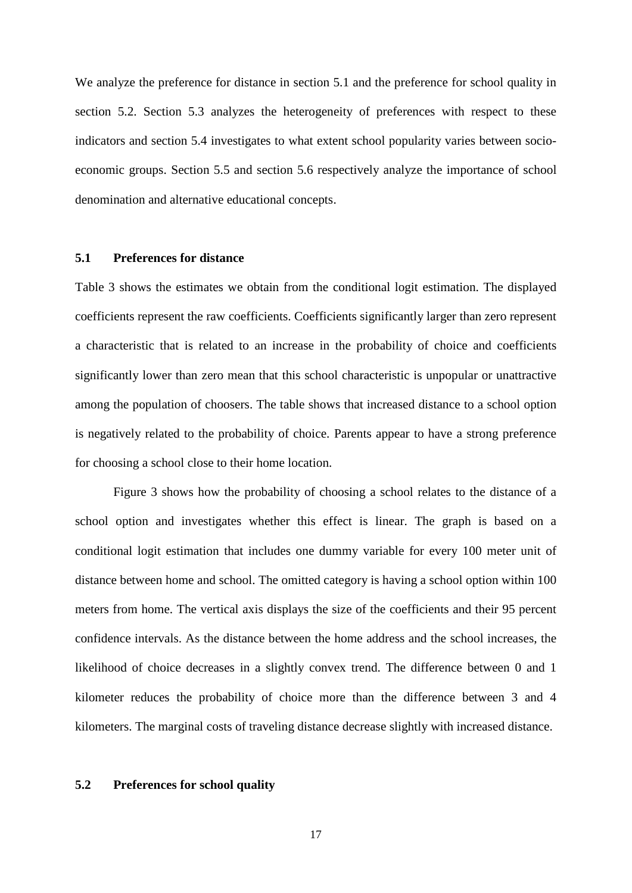We analyze the preference for distance in section 5.1 and the preference for school quality in section 5.2. Section 5.3 analyzes the heterogeneity of preferences with respect to these indicators and section 5.4 investigates to what extent school popularity varies between socioeconomic groups. Section 5.5 and section 5.6 respectively analyze the importance of school denomination and alternative educational concepts.

#### **5.1 Preferences for distance**

Table 3 shows the estimates we obtain from the conditional logit estimation. The displayed coefficients represent the raw coefficients. Coefficients significantly larger than zero represent a characteristic that is related to an increase in the probability of choice and coefficients significantly lower than zero mean that this school characteristic is unpopular or unattractive among the population of choosers. The table shows that increased distance to a school option is negatively related to the probability of choice. Parents appear to have a strong preference for choosing a school close to their home location.

Figure 3 shows how the probability of choosing a school relates to the distance of a school option and investigates whether this effect is linear. The graph is based on a conditional logit estimation that includes one dummy variable for every 100 meter unit of distance between home and school. The omitted category is having a school option within 100 meters from home. The vertical axis displays the size of the coefficients and their 95 percent confidence intervals. As the distance between the home address and the school increases, the likelihood of choice decreases in a slightly convex trend. The difference between 0 and 1 kilometer reduces the probability of choice more than the difference between 3 and 4 kilometers. The marginal costs of traveling distance decrease slightly with increased distance.

#### **5.2 Preferences for school quality**

17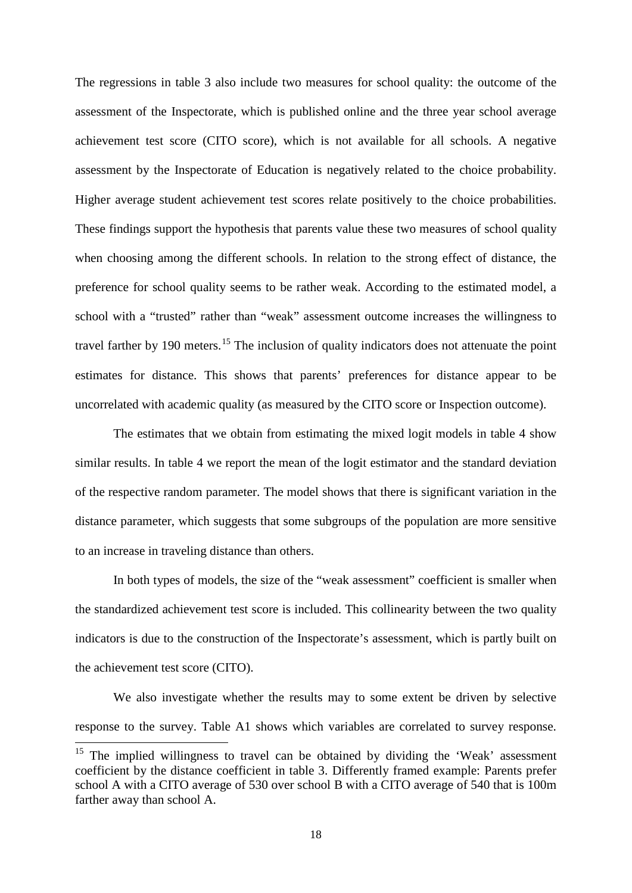The regressions in table 3 also include two measures for school quality: the outcome of the assessment of the Inspectorate, which is published online and the three year school average achievement test score (CITO score), which is not available for all schools. A negative assessment by the Inspectorate of Education is negatively related to the choice probability. Higher average student achievement test scores relate positively to the choice probabilities. These findings support the hypothesis that parents value these two measures of school quality when choosing among the different schools. In relation to the strong effect of distance, the preference for school quality seems to be rather weak. According to the estimated model, a school with a "trusted" rather than "weak" assessment outcome increases the willingness to travel farther by 190 meters.<sup>[15](#page-17-2)</sup> The inclusion of quality indicators does not attenuate the point estimates for distance. This shows that parents' preferences for distance appear to be uncorrelated with academic quality (as measured by the CITO score or Inspection outcome).

The estimates that we obtain from estimating the mixed logit models in table 4 show similar results. In table 4 we report the mean of the logit estimator and the standard deviation of the respective random parameter. The model shows that there is significant variation in the distance parameter, which suggests that some subgroups of the population are more sensitive to an increase in traveling distance than others.

In both types of models, the size of the "weak assessment" coefficient is smaller when the standardized achievement test score is included. This collinearity between the two quality indicators is due to the construction of the Inspectorate's assessment, which is partly built on the achievement test score (CITO).

We also investigate whether the results may to some extent be driven by selective response to the survey. Table A1 shows which variables are correlated to survey response.

<span id="page-19-0"></span><sup>&</sup>lt;sup>15</sup> The implied willingness to travel can be obtained by dividing the 'Weak' assessment coefficient by the distance coefficient in table 3. Differently framed example: Parents prefer school A with a CITO average of 530 over school B with a CITO average of 540 that is 100m farther away than school A.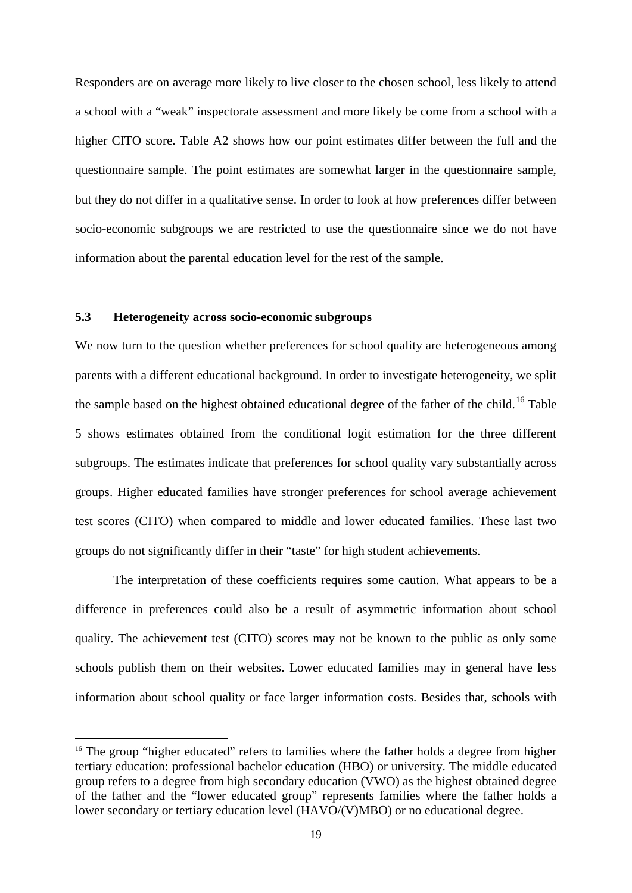Responders are on average more likely to live closer to the chosen school, less likely to attend a school with a "weak" inspectorate assessment and more likely be come from a school with a higher CITO score. Table A2 shows how our point estimates differ between the full and the questionnaire sample. The point estimates are somewhat larger in the questionnaire sample, but they do not differ in a qualitative sense. In order to look at how preferences differ between socio-economic subgroups we are restricted to use the questionnaire since we do not have information about the parental education level for the rest of the sample.

#### **5.3 Heterogeneity across socio-economic subgroups**

<span id="page-20-0"></span> $\overline{a}$ 

We now turn to the question whether preferences for school quality are heterogeneous among parents with a different educational background. In order to investigate heterogeneity, we split the sample based on the highest obtained educational degree of the father of the child.<sup>[16](#page-19-0)</sup> Table 5 shows estimates obtained from the conditional logit estimation for the three different subgroups. The estimates indicate that preferences for school quality vary substantially across groups. Higher educated families have stronger preferences for school average achievement test scores (CITO) when compared to middle and lower educated families. These last two groups do not significantly differ in their "taste" for high student achievements.

The interpretation of these coefficients requires some caution. What appears to be a difference in preferences could also be a result of asymmetric information about school quality. The achievement test (CITO) scores may not be known to the public as only some schools publish them on their websites. Lower educated families may in general have less information about school quality or face larger information costs. Besides that, schools with

<sup>&</sup>lt;sup>16</sup> The group "higher educated" refers to families where the father holds a degree from higher tertiary education: professional bachelor education (HBO) or university. The middle educated group refers to a degree from high secondary education (VWO) as the highest obtained degree of the father and the "lower educated group" represents families where the father holds a lower secondary or tertiary education level (HAVO/(V)MBO) or no educational degree.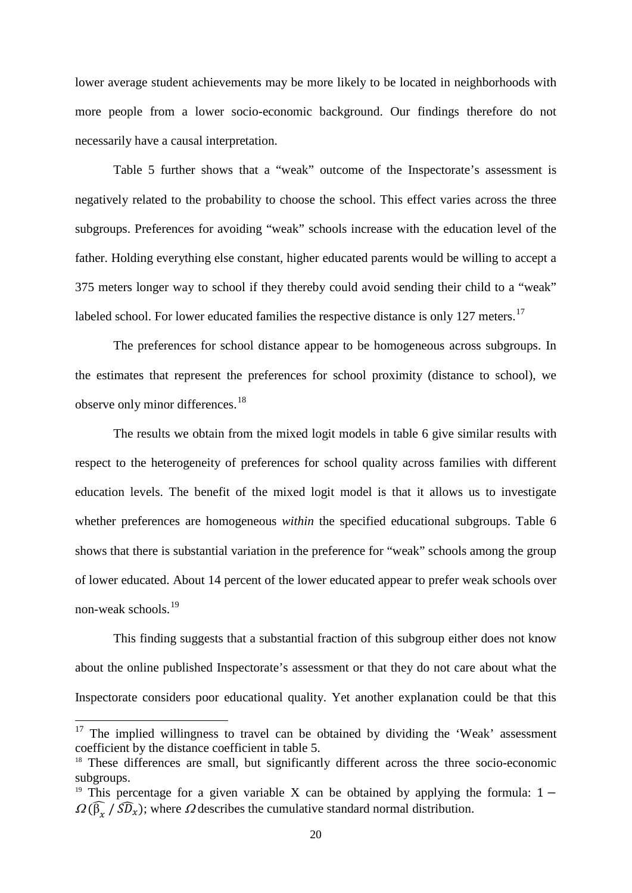lower average student achievements may be more likely to be located in neighborhoods with more people from a lower socio-economic background. Our findings therefore do not necessarily have a causal interpretation.

Table 5 further shows that a "weak" outcome of the Inspectorate's assessment is negatively related to the probability to choose the school. This effect varies across the three subgroups. Preferences for avoiding "weak" schools increase with the education level of the father. Holding everything else constant, higher educated parents would be willing to accept a 375 meters longer way to school if they thereby could avoid sending their child to a "weak" labeled school. For lower educated families the respective distance is only 127 meters.<sup>[17](#page-20-0)</sup>

The preferences for school distance appear to be homogeneous across subgroups. In the estimates that represent the preferences for school proximity (distance to school), we observe only minor differences.<sup>[18](#page-21-0)</sup>

The results we obtain from the mixed logit models in table 6 give similar results with respect to the heterogeneity of preferences for school quality across families with different education levels. The benefit of the mixed logit model is that it allows us to investigate whether preferences are homogeneous *within* the specified educational subgroups. Table 6 shows that there is substantial variation in the preference for "weak" schools among the group of lower educated. About 14 percent of the lower educated appear to prefer weak schools over non-weak schools.[19](#page-21-1)

This finding suggests that a substantial fraction of this subgroup either does not know about the online published Inspectorate's assessment or that they do not care about what the Inspectorate considers poor educational quality. Yet another explanation could be that this

<sup>&</sup>lt;sup>17</sup> The implied willingness to travel can be obtained by dividing the 'Weak' assessment coefficient by the distance coefficient in table 5.

<span id="page-21-0"></span><sup>&</sup>lt;sup>18</sup> These differences are small, but significantly different across the three socio-economic subgroups.

<span id="page-21-2"></span><span id="page-21-1"></span><sup>&</sup>lt;sup>19</sup> This percentage for a given variable X can be obtained by applying the formula:  $1 \Omega(\widehat{\beta}_x / \widehat{SD}_x)$ ; where  $\Omega$  describes the cumulative standard normal distribution.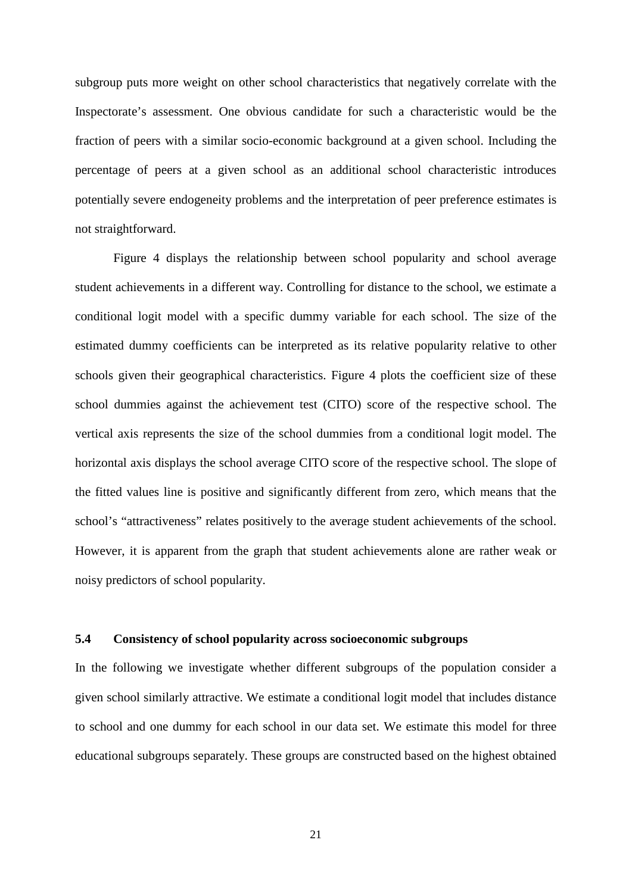subgroup puts more weight on other school characteristics that negatively correlate with the Inspectorate's assessment. One obvious candidate for such a characteristic would be the fraction of peers with a similar socio-economic background at a given school. Including the percentage of peers at a given school as an additional school characteristic introduces potentially severe endogeneity problems and the interpretation of peer preference estimates is not straightforward.

Figure 4 displays the relationship between school popularity and school average student achievements in a different way. Controlling for distance to the school, we estimate a conditional logit model with a specific dummy variable for each school. The size of the estimated dummy coefficients can be interpreted as its relative popularity relative to other schools given their geographical characteristics. Figure 4 plots the coefficient size of these school dummies against the achievement test (CITO) score of the respective school. The vertical axis represents the size of the school dummies from a conditional logit model. The horizontal axis displays the school average CITO score of the respective school. The slope of the fitted values line is positive and significantly different from zero, which means that the school's "attractiveness" relates positively to the average student achievements of the school. However, it is apparent from the graph that student achievements alone are rather weak or noisy predictors of school popularity.

#### **5.4 Consistency of school popularity across socioeconomic subgroups**

In the following we investigate whether different subgroups of the population consider a given school similarly attractive. We estimate a conditional logit model that includes distance to school and one dummy for each school in our data set. We estimate this model for three educational subgroups separately. These groups are constructed based on the highest obtained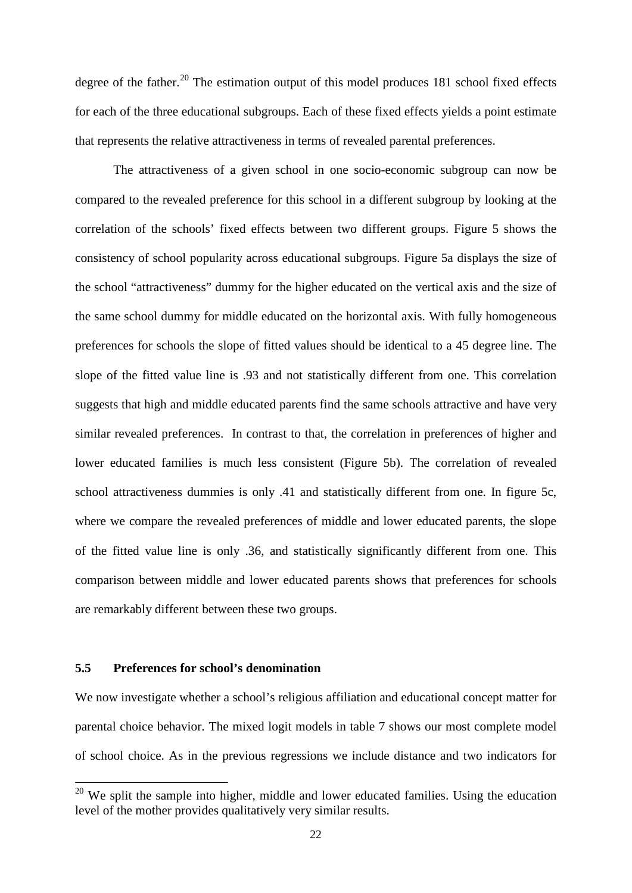degree of the father.<sup>[20](#page-21-2)</sup> The estimation output of this model produces 181 school fixed effects for each of the three educational subgroups. Each of these fixed effects yields a point estimate that represents the relative attractiveness in terms of revealed parental preferences.

The attractiveness of a given school in one socio-economic subgroup can now be compared to the revealed preference for this school in a different subgroup by looking at the correlation of the schools' fixed effects between two different groups. Figure 5 shows the consistency of school popularity across educational subgroups. Figure 5a displays the size of the school "attractiveness" dummy for the higher educated on the vertical axis and the size of the same school dummy for middle educated on the horizontal axis. With fully homogeneous preferences for schools the slope of fitted values should be identical to a 45 degree line. The slope of the fitted value line is .93 and not statistically different from one. This correlation suggests that high and middle educated parents find the same schools attractive and have very similar revealed preferences. In contrast to that, the correlation in preferences of higher and lower educated families is much less consistent (Figure 5b). The correlation of revealed school attractiveness dummies is only .41 and statistically different from one. In figure 5c, where we compare the revealed preferences of middle and lower educated parents, the slope of the fitted value line is only .36, and statistically significantly different from one. This comparison between middle and lower educated parents shows that preferences for schools are remarkably different between these two groups.

#### **5.5 Preferences for school's denomination**

We now investigate whether a school's religious affiliation and educational concept matter for parental choice behavior. The mixed logit models in table 7 shows our most complete model of school choice. As in the previous regressions we include distance and two indicators for

<span id="page-23-0"></span> $20$  We split the sample into higher, middle and lower educated families. Using the education level of the mother provides qualitatively very similar results.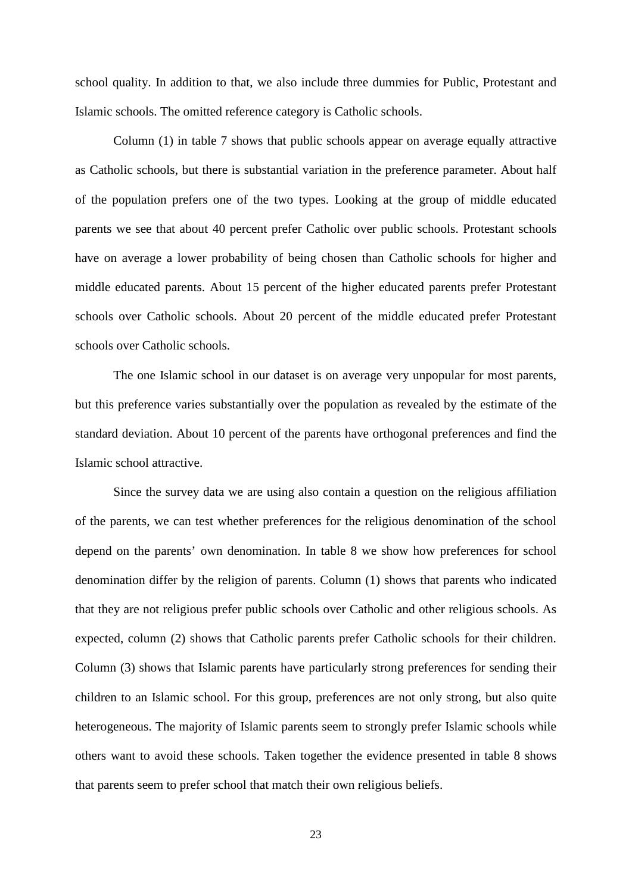school quality. In addition to that, we also include three dummies for Public, Protestant and Islamic schools. The omitted reference category is Catholic schools.

Column (1) in table 7 shows that public schools appear on average equally attractive as Catholic schools, but there is substantial variation in the preference parameter. About half of the population prefers one of the two types. Looking at the group of middle educated parents we see that about 40 percent prefer Catholic over public schools. Protestant schools have on average a lower probability of being chosen than Catholic schools for higher and middle educated parents. About 15 percent of the higher educated parents prefer Protestant schools over Catholic schools. About 20 percent of the middle educated prefer Protestant schools over Catholic schools.

The one Islamic school in our dataset is on average very unpopular for most parents, but this preference varies substantially over the population as revealed by the estimate of the standard deviation. About 10 percent of the parents have orthogonal preferences and find the Islamic school attractive.

Since the survey data we are using also contain a question on the religious affiliation of the parents, we can test whether preferences for the religious denomination of the school depend on the parents' own denomination. In table 8 we show how preferences for school denomination differ by the religion of parents. Column (1) shows that parents who indicated that they are not religious prefer public schools over Catholic and other religious schools. As expected, column (2) shows that Catholic parents prefer Catholic schools for their children. Column (3) shows that Islamic parents have particularly strong preferences for sending their children to an Islamic school. For this group, preferences are not only strong, but also quite heterogeneous. The majority of Islamic parents seem to strongly prefer Islamic schools while others want to avoid these schools. Taken together the evidence presented in table 8 shows that parents seem to prefer school that match their own religious beliefs.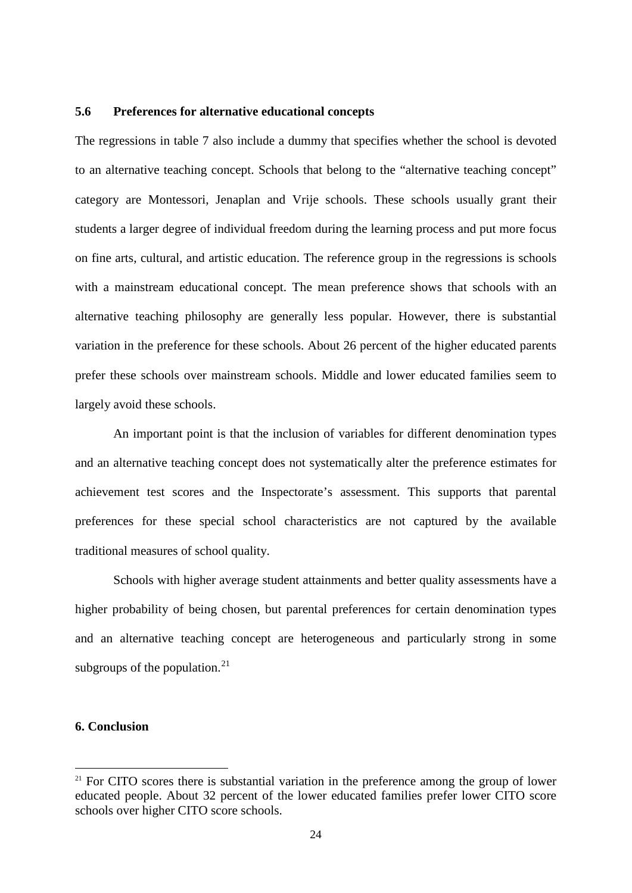#### **5.6 Preferences for alternative educational concepts**

The regressions in table 7 also include a dummy that specifies whether the school is devoted to an alternative teaching concept. Schools that belong to the "alternative teaching concept" category are Montessori, Jenaplan and Vrije schools. These schools usually grant their students a larger degree of individual freedom during the learning process and put more focus on fine arts, cultural, and artistic education. The reference group in the regressions is schools with a mainstream educational concept. The mean preference shows that schools with an alternative teaching philosophy are generally less popular. However, there is substantial variation in the preference for these schools. About 26 percent of the higher educated parents prefer these schools over mainstream schools. Middle and lower educated families seem to largely avoid these schools.

An important point is that the inclusion of variables for different denomination types and an alternative teaching concept does not systematically alter the preference estimates for achievement test scores and the Inspectorate's assessment. This supports that parental preferences for these special school characteristics are not captured by the available traditional measures of school quality.

Schools with higher average student attainments and better quality assessments have a higher probability of being chosen, but parental preferences for certain denomination types and an alternative teaching concept are heterogeneous and particularly strong in some subgroups of the population. $^{21}$  $^{21}$  $^{21}$ 

#### **6. Conclusion**

 $21$  For CITO scores there is substantial variation in the preference among the group of lower educated people. About 32 percent of the lower educated families prefer lower CITO score schools over higher CITO score schools.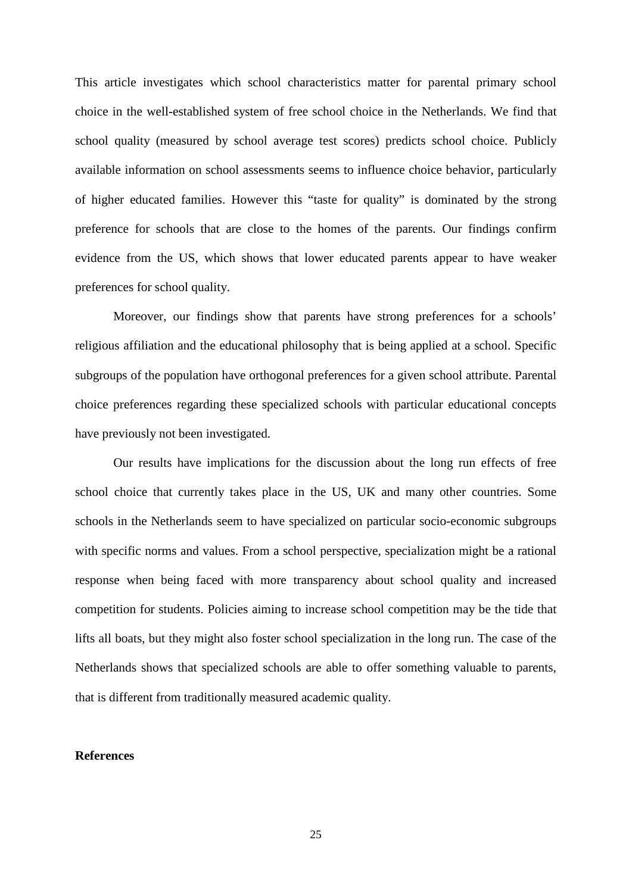This article investigates which school characteristics matter for parental primary school choice in the well-established system of free school choice in the Netherlands. We find that school quality (measured by school average test scores) predicts school choice. Publicly available information on school assessments seems to influence choice behavior, particularly of higher educated families. However this "taste for quality" is dominated by the strong preference for schools that are close to the homes of the parents. Our findings confirm evidence from the US, which shows that lower educated parents appear to have weaker preferences for school quality.

Moreover, our findings show that parents have strong preferences for a schools' religious affiliation and the educational philosophy that is being applied at a school. Specific subgroups of the population have orthogonal preferences for a given school attribute. Parental choice preferences regarding these specialized schools with particular educational concepts have previously not been investigated.

Our results have implications for the discussion about the long run effects of free school choice that currently takes place in the US, UK and many other countries. Some schools in the Netherlands seem to have specialized on particular socio-economic subgroups with specific norms and values. From a school perspective, specialization might be a rational response when being faced with more transparency about school quality and increased competition for students. Policies aiming to increase school competition may be the tide that lifts all boats, but they might also foster school specialization in the long run. The case of the Netherlands shows that specialized schools are able to offer something valuable to parents, that is different from traditionally measured academic quality.

#### **References**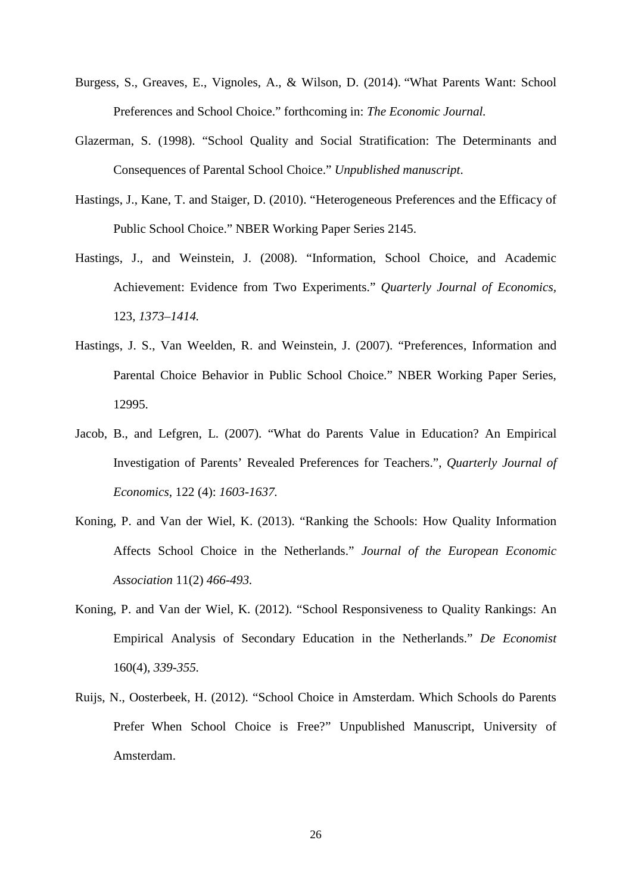- Burgess, S., Greaves, E., Vignoles, A., & Wilson, D. (2014). "What Parents Want: School Preferences and School Choice." forthcoming in: *The Economic Journal.*
- Glazerman, S. (1998). "School Quality and Social Stratification: The Determinants and Consequences of Parental School Choice." *Unpublished manuscript*.
- Hastings, J., Kane, T. and Staiger, D. (2010). "Heterogeneous Preferences and the Efficacy of Public School Choice." NBER Working Paper Series 2145.
- Hastings, J., and Weinstein, J. (2008). "Information, School Choice, and Academic Achievement: Evidence from Two Experiments." *Quarterly Journal of Economics,*  123, *1373–1414.*
- Hastings, J. S., Van Weelden, R. and Weinstein, J. (2007). "Preferences, Information and Parental Choice Behavior in Public School Choice." NBER Working Paper Series, 12995.
- Jacob, B., and Lefgren, L. (2007). "What do Parents Value in Education? An Empirical Investigation of Parents' Revealed Preferences for Teachers.", *Quarterly Journal of Economics*, 122 (4): *1603-1637.*
- Koning, P. and Van der Wiel, K. (2013). "Ranking the Schools: How Quality Information Affects School Choice in the Netherlands." *Journal of the European Economic Association* 11(2) *466-493.*
- Koning, P. and Van der Wiel, K. (2012). "School Responsiveness to Quality Rankings: An Empirical Analysis of Secondary Education in the Netherlands." *De Economist* 160(4), *339-355.*
- Ruijs, N., Oosterbeek, H. (2012). "School Choice in Amsterdam. Which Schools do Parents Prefer When School Choice is Free?" Unpublished Manuscript, University of Amsterdam.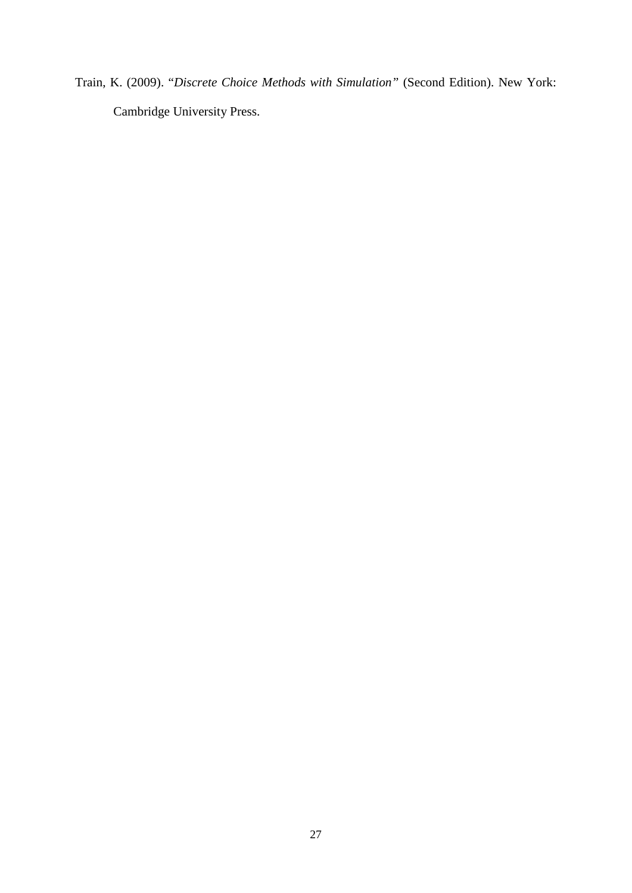Train, K. (2009). "*Discrete Choice Methods with Simulation"* (Second Edition). New York: Cambridge University Press.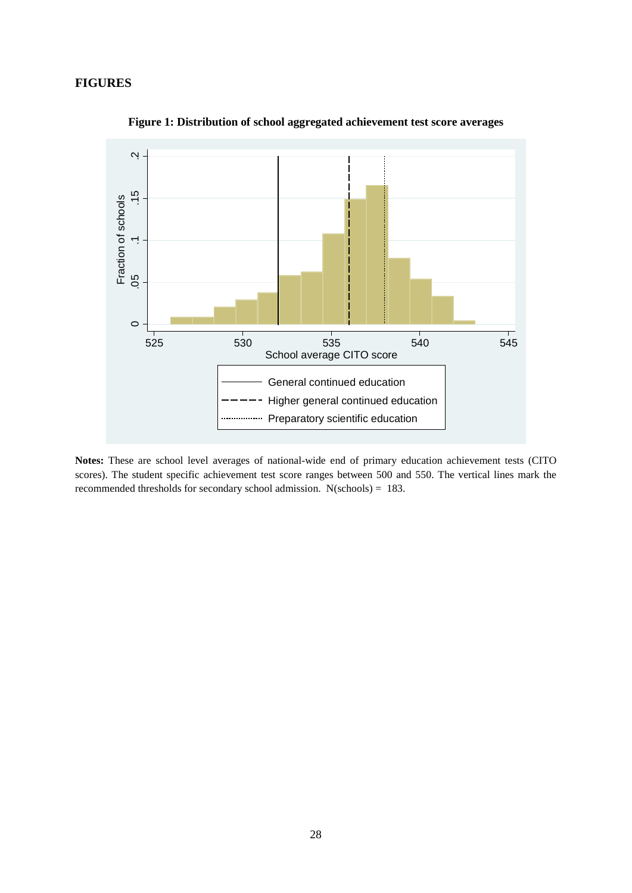#### **FIGURES**



**Figure 1: Distribution of school aggregated achievement test score averages**

**Notes:** These are school level averages of national-wide end of primary education achievement tests (CITO scores). The student specific achievement test score ranges between 500 and 550. The vertical lines mark the recommended thresholds for secondary school admission. N(schools) = 183.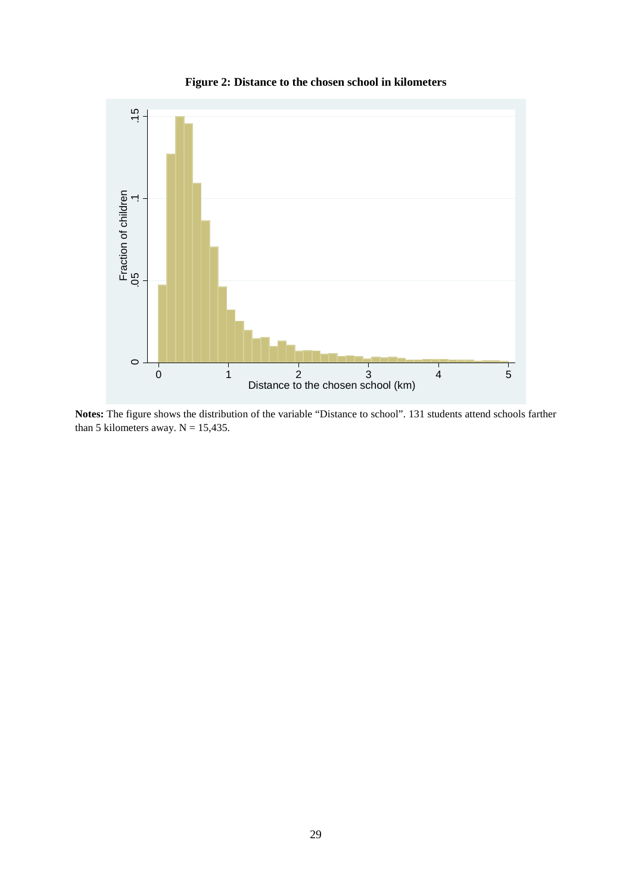

**Figure 2: Distance to the chosen school in kilometers**

**Notes:** The figure shows the distribution of the variable "Distance to school". 131 students attend schools farther than 5 kilometers away.  $N = 15,435$ .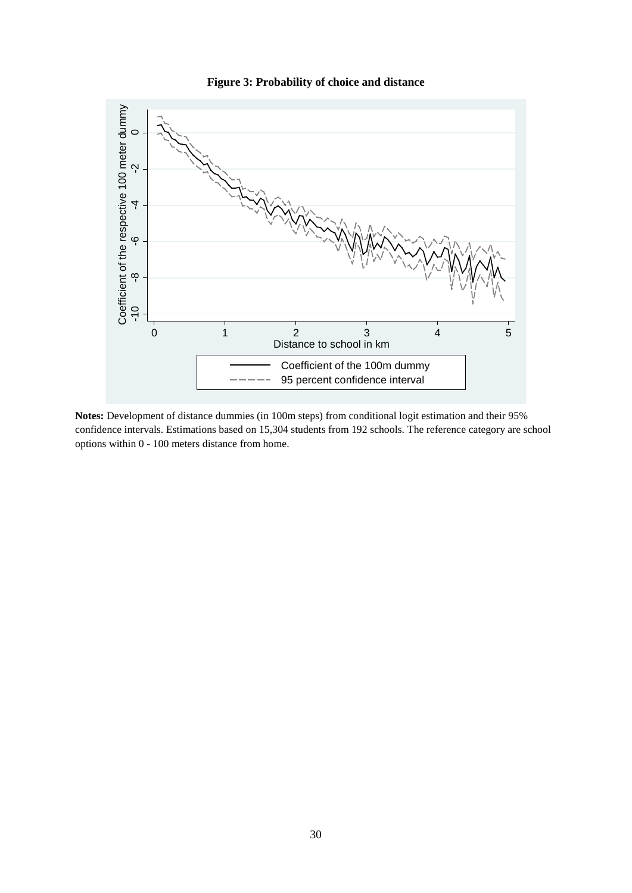

**Figure 3: Probability of choice and distance**

**Notes:** Development of distance dummies (in 100m steps) from conditional logit estimation and their 95% confidence intervals. Estimations based on 15,304 students from 192 schools. The reference category are school

0 1 2 3 4 5 Distance to school in km

> Coefficient of the 100m dummy 95 percent confidence interval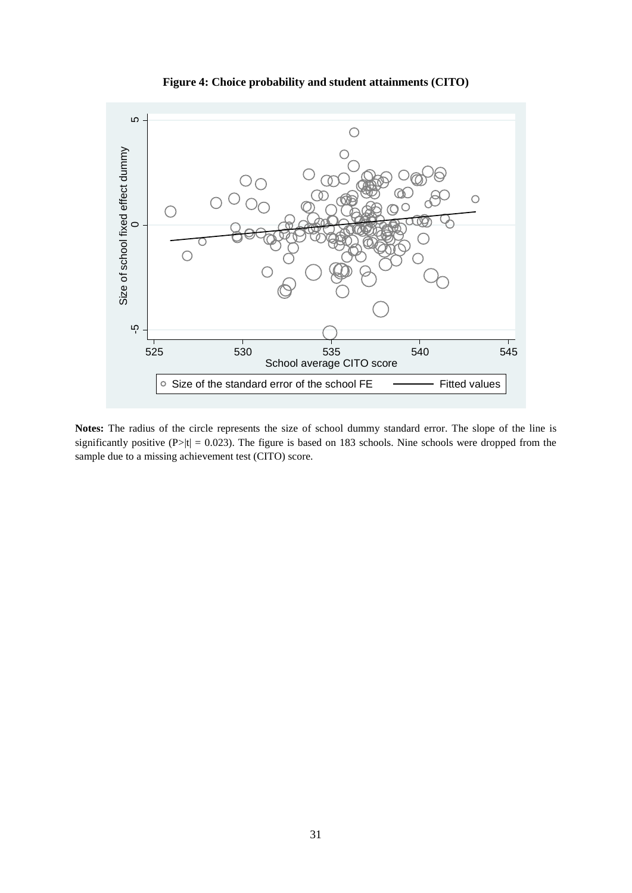

**Figure 4: Choice probability and student attainments (CITO)**

**Notes:** The radius of the circle represents the size of school dummy standard error. The slope of the line is significantly positive (P>|t| = 0.023). The figure is based on 183 schools. Nine schools were dropped from the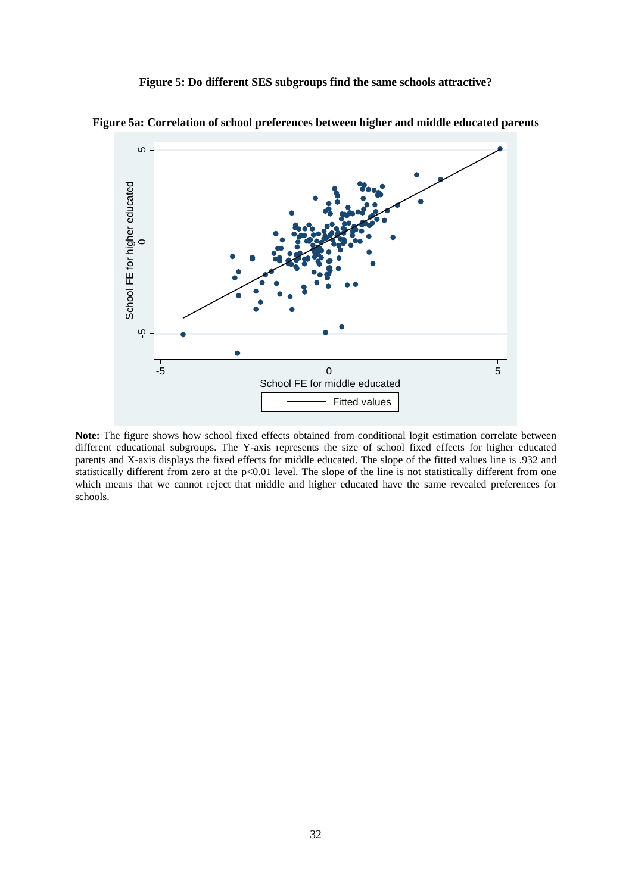**Figure 5: Do different SES subgroups find the same schools attractive?** 



**Figure 5a: Correlation of school preferences between higher and middle educated parents** 

**Note:** The figure shows how school fixed effects obtained from conditional logit estimation correlate between different educational subgroups. The Y-axis represents the size of school fixed effects for higher educated parents and X-axis displays the fixed effects for middle educated. The slope of the fitted values line is .932 and statistically different from zero at the  $p<0.01$  level. The slope of the line is not statistically different from one which means that we cannot reject that middle and higher educated have the same revealed preferences for schools.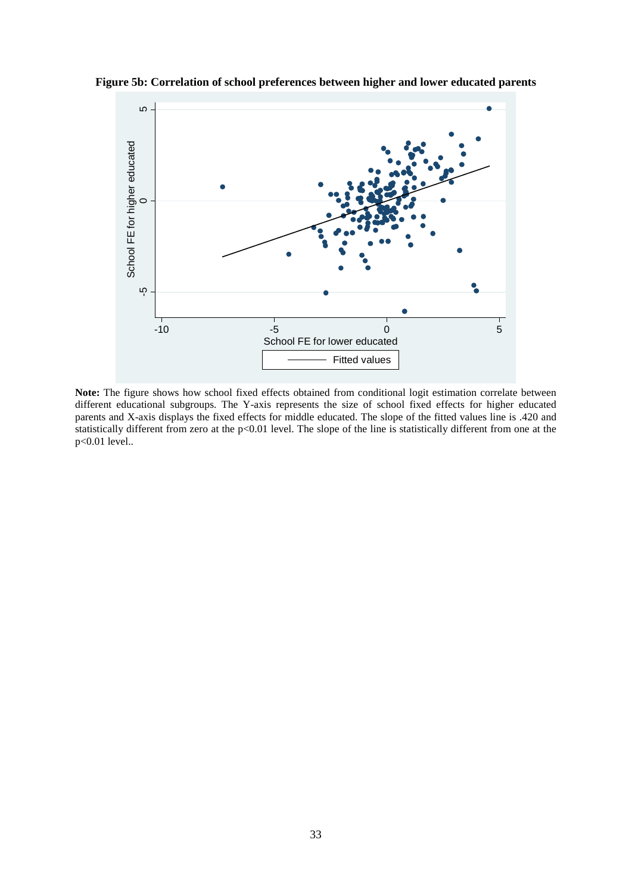

**Figure 5b: Correlation of school preferences between higher and lower educated parents** 

**Note:** The figure shows how school fixed effects obtained from conditional logit estimation correlate between different educational subgroups. The Y-axis represents the size of school fixed effects for higher educated parents and X-axis displays the fixed effects for middle educated. The slope of the fitted values line is .420 and statistically different from zero at the p<0.01 level. The slope of the line is statistically different from one at the p<0.01 level..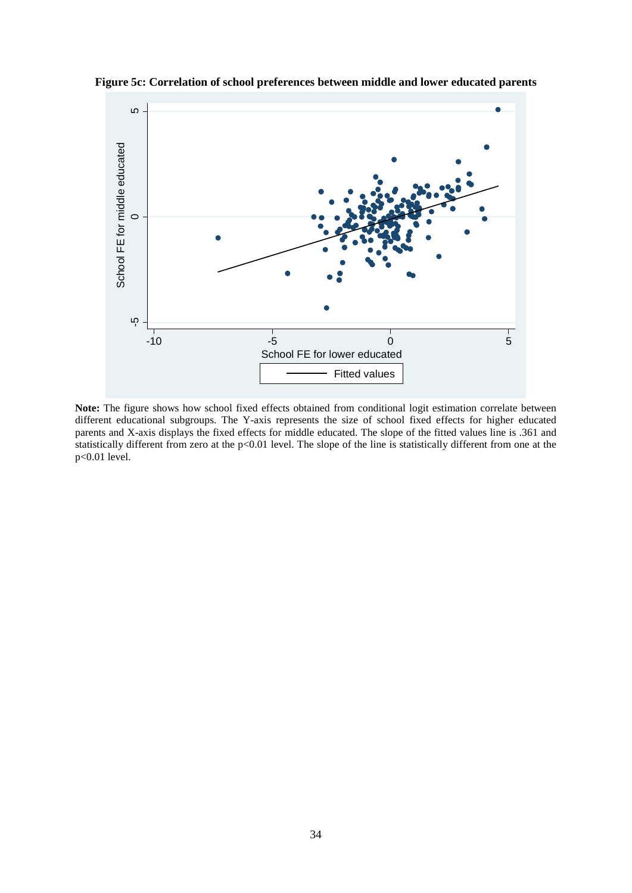

**Figure 5c: Correlation of school preferences between middle and lower educated parents** 

**Note:** The figure shows how school fixed effects obtained from conditional logit estimation correlate between different educational subgroups. The Y-axis represents the size of school fixed effects for higher educated parents and X-axis displays the fixed effects for middle educated. The slope of the fitted values line is .361 and statistically different from zero at the p<0.01 level. The slope of the line is statistically different from one at the p<0.01 level.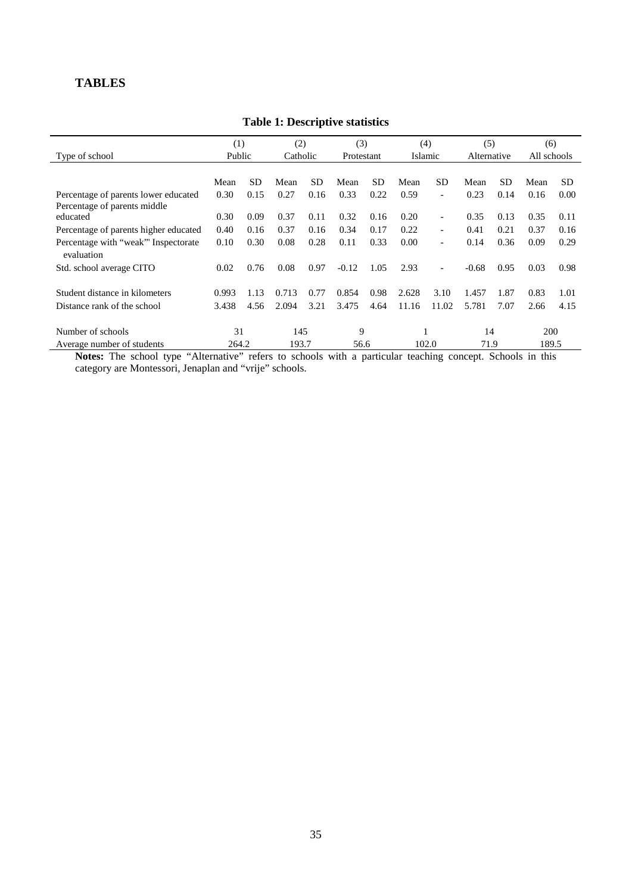### **TABLES**

|                                                   | (1)    |           | (2)      |           | (3)        |           | (4)   |                | (5)         |      | (6)         |           |
|---------------------------------------------------|--------|-----------|----------|-----------|------------|-----------|-------|----------------|-------------|------|-------------|-----------|
| Type of school                                    | Public |           | Catholic |           | Protestant |           |       | Islamic        | Alternative |      | All schools |           |
|                                                   |        |           |          |           |            |           |       |                |             |      |             |           |
|                                                   | Mean   | <b>SD</b> | Mean     | <b>SD</b> | Mean       | <b>SD</b> | Mean  | <b>SD</b>      | Mean        | SD.  | Mean        | <b>SD</b> |
| Percentage of parents lower educated              | 0.30   | 0.15      | 0.27     | 0.16      | 0.33       | 0.22      | 0.59  | $\blacksquare$ | 0.23        | 0.14 | 0.16        | 0.00      |
| Percentage of parents middle                      |        |           |          |           |            |           |       |                |             |      |             |           |
| educated                                          | 0.30   | 0.09      | 0.37     | 0.11      | 0.32       | 0.16      | 0.20  | $\blacksquare$ | 0.35        | 0.13 | 0.35        | 0.11      |
| Percentage of parents higher educated             | 0.40   | 0.16      | 0.37     | 0.16      | 0.34       | 0.17      | 0.22  | $\blacksquare$ | 0.41        | 0.21 | 0.37        | 0.16      |
| Percentage with "weak" Inspectorate<br>evaluation | 0.10   | 0.30      | 0.08     | 0.28      | 0.11       | 0.33      | 0.00  | $\blacksquare$ | 0.14        | 0.36 | 0.09        | 0.29      |
| Std. school average CITO                          | 0.02   | 0.76      | 0.08     | 0.97      | $-0.12$    | 1.05      | 2.93  | $\blacksquare$ | $-0.68$     | 0.95 | 0.03        | 0.98      |
|                                                   |        |           |          |           |            |           |       |                |             |      |             |           |
| Student distance in kilometers                    | 0.993  | 1.13      | 0.713    | 0.77      | 0.854      | 0.98      | 2.628 | 3.10           | 1.457       | 1.87 | 0.83        | 1.01      |
| Distance rank of the school                       | 3.438  | 4.56      | 2.094    | 3.21      | 3.475      | 4.64      | 11.16 | 11.02          | 5.781       | 7.07 | 2.66        | 4.15      |
| Number of schools                                 | 31     |           | 145      |           | 9          |           |       |                | 14          |      | 200         |           |
| Average number of students                        | 264.2  |           | 193.7    |           | 56.6       |           |       | 102.0          | 71.9        |      | 189.5       |           |

#### **Table 1: Descriptive statistics**

**Notes:** The school type "Alternative" refers to schools with a particular teaching concept. Schools in this category are Montessori, Jenaplan and "vrije" schools.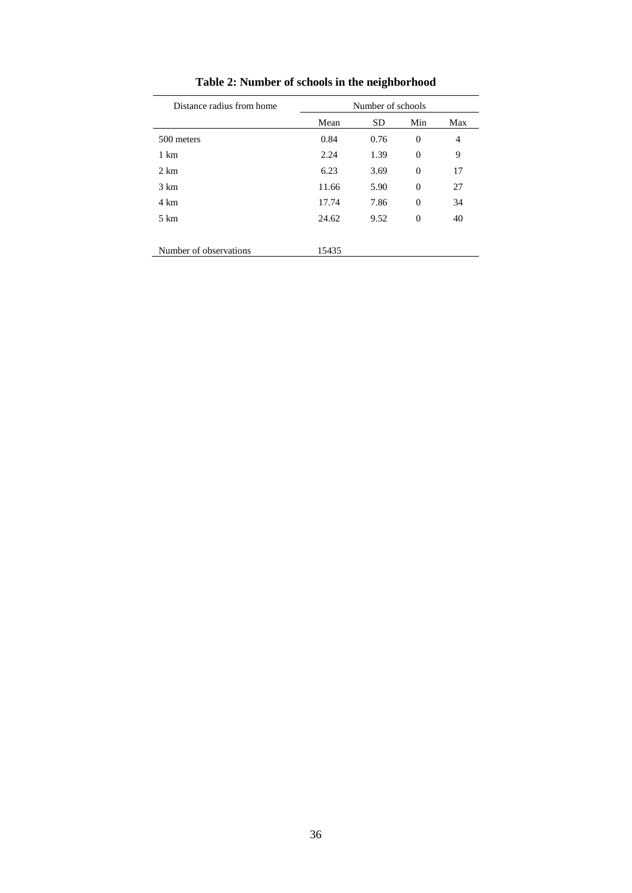| Distance radius from home | Number of schools |           |                |     |  |  |
|---------------------------|-------------------|-----------|----------------|-----|--|--|
|                           | Mean              | <b>SD</b> | Min            | Max |  |  |
| 500 meters                | 0.84              | 0.76      | $\overline{0}$ | 4   |  |  |
| $1 \text{ km}$            | 2.24              | 1.39      | $\overline{0}$ | 9   |  |  |
| $2 \text{ km}$            | 6.23              | 3.69      | $\Omega$       | 17  |  |  |
| $3 \text{ km}$            | 11.66             | 5.90      | $\Omega$       | 27  |  |  |
| 4 km                      | 17.74             | 7.86      | $\Omega$       | 34  |  |  |
| $5 \text{ km}$            | 24.62             | 9.52      | $\overline{0}$ | 40  |  |  |
|                           |                   |           |                |     |  |  |
| Number of observations    | 15435             |           |                |     |  |  |

**Table 2: Number of schools in the neighborhood**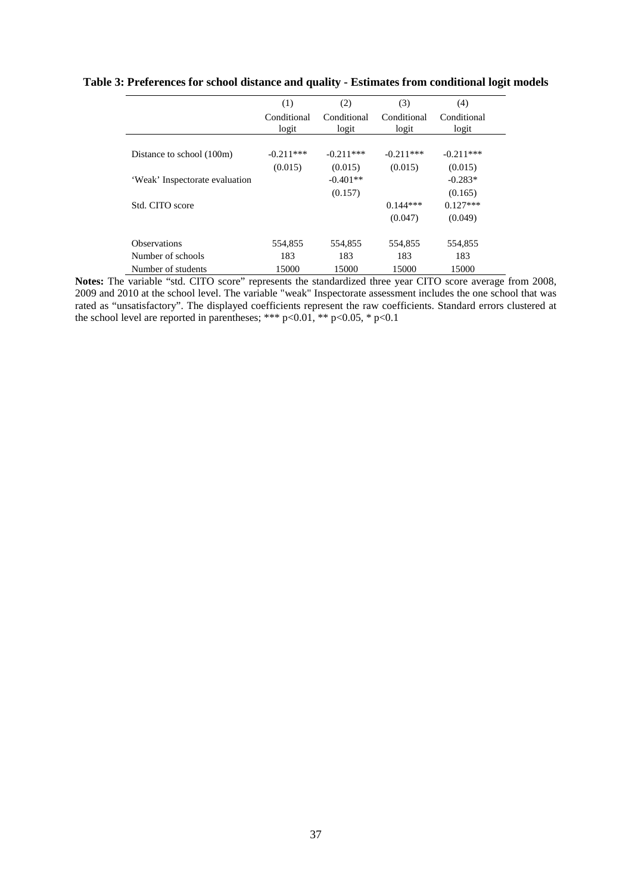|                                | (1)                  | (2)                  | (3)                  | (4)                  |
|--------------------------------|----------------------|----------------------|----------------------|----------------------|
|                                | Conditional<br>logit | Conditional<br>logit | Conditional<br>logit | Conditional<br>logit |
|                                |                      |                      |                      |                      |
| Distance to school (100m)      | $-0.211$ ***         | $-0.211***$          | $-0.211***$          | $-0.211***$          |
|                                | (0.015)              | (0.015)              | (0.015)              | (0.015)              |
| 'Weak' Inspectorate evaluation |                      | $-0.401**$           |                      | $-0.283*$            |
|                                |                      | (0.157)              |                      | (0.165)              |
| Std. CITO score                |                      |                      | $0.144***$           | $0.127***$           |
|                                |                      |                      | (0.047)              | (0.049)              |
| <b>Observations</b>            | 554,855              | 554,855              | 554,855              | 554,855              |
| Number of schools              | 183                  | 183                  | 183                  | 183                  |
| Number of students             | 15000                | 15000                | 15000                | 15000                |

#### **Table 3: Preferences for school distance and quality - Estimates from conditional logit models**

**Notes:** The variable "std. CITO score" represents the standardized three year CITO score average from 2008, 2009 and 2010 at the school level. The variable "weak" Inspectorate assessment includes the one school that was rated as "unsatisfactory". The displayed coefficients represent the raw coefficients. Standard errors clustered at the school level are reported in parentheses; \*\*\* p<0.01, \*\* p<0.05, \* p<0.1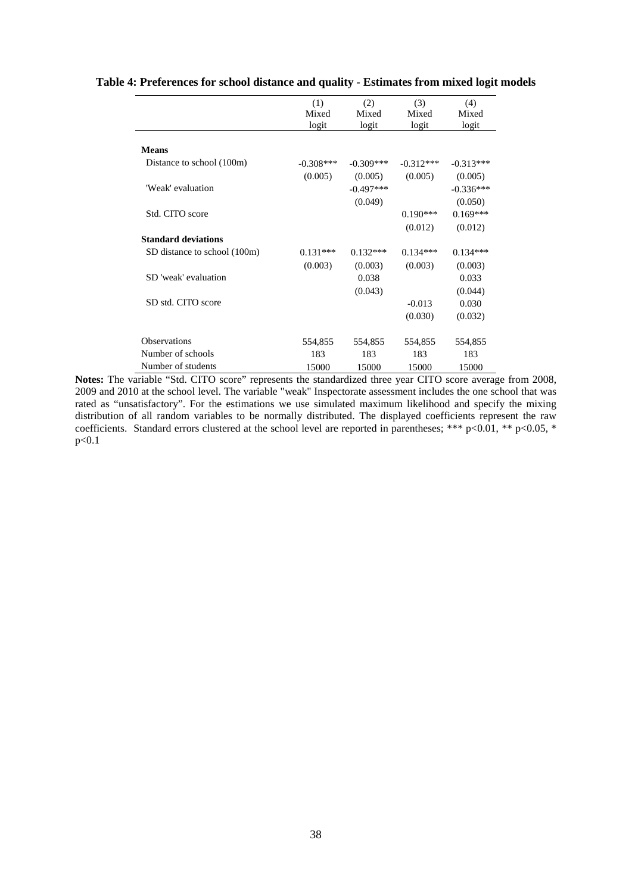|                              | (1)         | (2)         | (3)         | (4)         |
|------------------------------|-------------|-------------|-------------|-------------|
|                              | Mixed       | Mixed       | Mixed       | Mixed       |
|                              | logit       | logit       | logit       | logit       |
| <b>Means</b>                 |             |             |             |             |
| Distance to school (100m)    | $-0.308***$ | $-0.309***$ | $-0.312***$ | $-0.313***$ |
|                              | (0.005)     | (0.005)     | (0.005)     | (0.005)     |
| 'Weak' evaluation            |             | $-0.497***$ |             | $-0.336***$ |
|                              |             | (0.049)     |             | (0.050)     |
| Std. CITO score              |             |             | $0.190***$  | $0.169***$  |
|                              |             |             | (0.012)     | (0.012)     |
| <b>Standard deviations</b>   |             |             |             |             |
| SD distance to school (100m) | $0.131***$  | $0.132***$  | $0.134***$  | $0.134***$  |
|                              | (0.003)     | (0.003)     | (0.003)     | (0.003)     |
| SD 'weak' evaluation         |             | 0.038       |             | 0.033       |
|                              |             | (0.043)     |             | (0.044)     |
| SD std. CITO score           |             |             | $-0.013$    | 0.030       |
|                              |             |             | (0.030)     | (0.032)     |
| <b>Observations</b>          | 554,855     | 554,855     | 554,855     | 554,855     |
| Number of schools            | 183         | 183         | 183         | 183         |
| Number of students           | 15000       | 15000       | 15000       | 15000       |

#### **Table 4: Preferences for school distance and quality - Estimates from mixed logit models**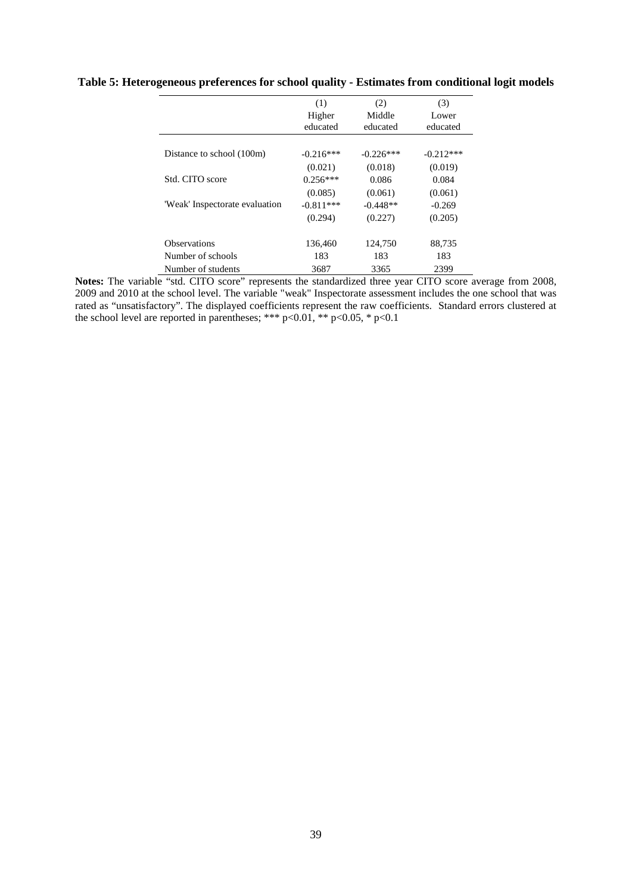|                                | (1)         | (2)         | (3)         |
|--------------------------------|-------------|-------------|-------------|
|                                | Higher      | Middle      | Lower       |
|                                | educated    | educated    | educated    |
|                                |             |             |             |
| Distance to school (100m)      | $-0.216***$ | $-0.226***$ | $-0.212***$ |
|                                | (0.021)     | (0.018)     | (0.019)     |
| Std. CITO score                | $0.256***$  | 0.086       | 0.084       |
|                                | (0.085)     | (0.061)     | (0.061)     |
| 'Weak' Inspectorate evaluation | $-0.811***$ | $-0.448**$  | $-0.269$    |
|                                | (0.294)     | (0.227)     | (0.205)     |
|                                |             |             |             |
| <b>Observations</b>            | 136,460     | 124,750     | 88,735      |
| Number of schools              | 183         | 183         | 183         |
| Number of students             | 3687        | 3365        | 2399        |

#### **Table 5: Heterogeneous preferences for school quality - Estimates from conditional logit models**

**Notes:** The variable "std. CITO score" represents the standardized three year CITO score average from 2008, 2009 and 2010 at the school level. The variable "weak" Inspectorate assessment includes the one school that was rated as "unsatisfactory". The displayed coefficients represent the raw coefficients. Standard errors clustered at the school level are reported in parentheses; \*\*\* p<0.01, \*\* p<0.05, \* p<0.1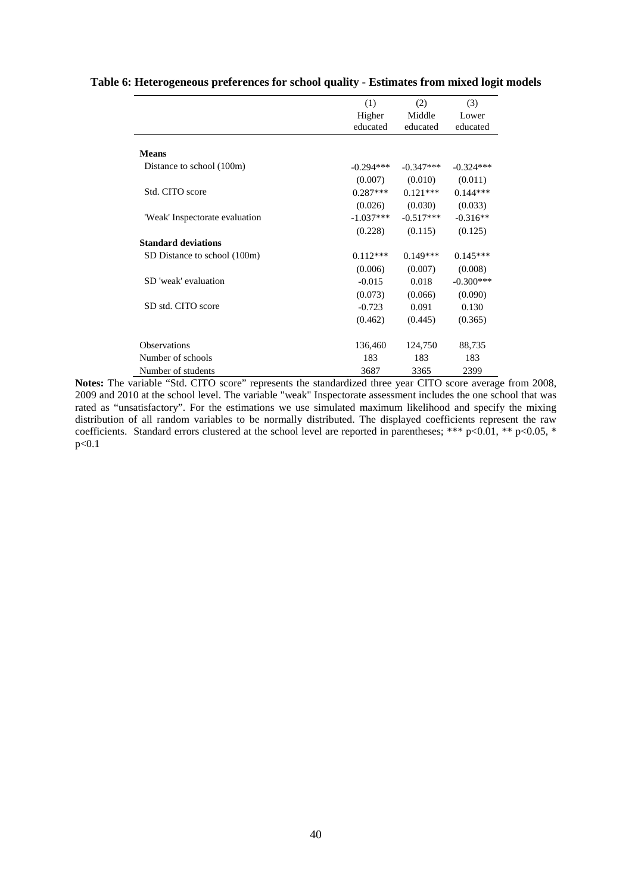|                                | (1)         | (2)         | (3)         |
|--------------------------------|-------------|-------------|-------------|
|                                | Higher      | Middle      | Lower       |
|                                | educated    | educated    | educated    |
| <b>Means</b>                   |             |             |             |
| Distance to school (100m)      | $-0.294***$ | $-0.347***$ | $-0.324***$ |
|                                | (0.007)     | (0.010)     | (0.011)     |
| Std. CITO score                | $0.287***$  | $0.121***$  | $0.144***$  |
|                                | (0.026)     | (0.030)     | (0.033)     |
| 'Weak' Inspectorate evaluation | $-1.037***$ | $-0.517***$ | $-0.316**$  |
|                                | (0.228)     | (0.115)     | (0.125)     |
| <b>Standard deviations</b>     |             |             |             |
| SD Distance to school (100m)   | $0.112***$  | $0.149***$  | $0.145***$  |
|                                | (0.006)     | (0.007)     | (0.008)     |
| SD 'weak' evaluation           | $-0.015$    | 0.018       | $-0.300***$ |
|                                | (0.073)     | (0.066)     | (0.090)     |
| SD std. CITO score             | $-0.723$    | 0.091       | 0.130       |
|                                | (0.462)     | (0.445)     | (0.365)     |
| <b>Observations</b>            | 136,460     | 124,750     | 88,735      |
| Number of schools              | 183         | 183         | 183         |
| Number of students             | 3687        | 3365        | 2399        |

#### **Table 6: Heterogeneous preferences for school quality - Estimates from mixed logit models**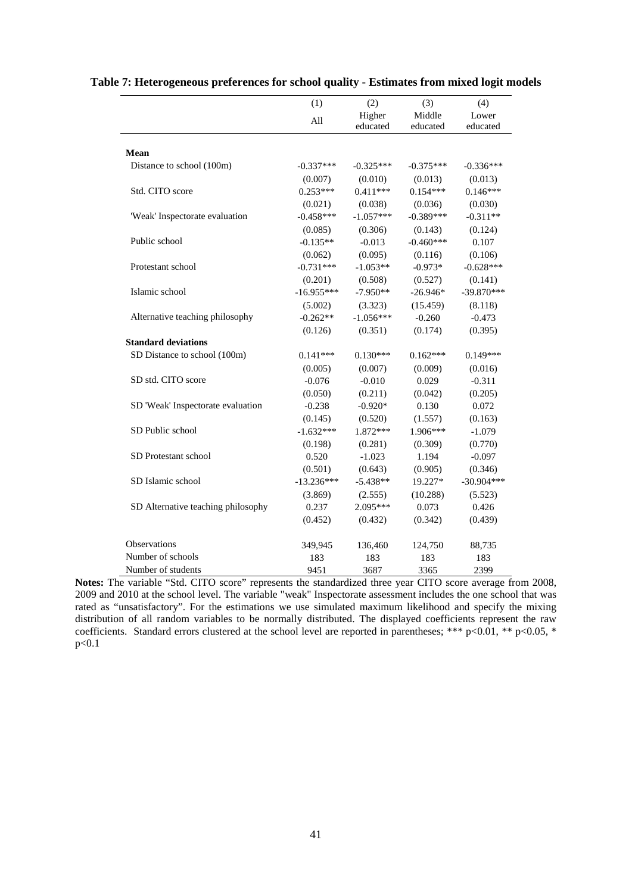|                                    | (1)          | (2)                | (3)                | (4)               |
|------------------------------------|--------------|--------------------|--------------------|-------------------|
|                                    | All          | Higher<br>educated | Middle<br>educated | Lower<br>educated |
|                                    |              |                    |                    |                   |
| Mean                               |              |                    |                    |                   |
| Distance to school (100m)          | $-0.337***$  | $-0.325***$        | $-0.375***$        | $-0.336***$       |
|                                    | (0.007)      | (0.010)            | (0.013)            | (0.013)           |
| Std. CITO score                    | $0.253***$   | $0.411***$         | $0.154***$         | $0.146***$        |
|                                    | (0.021)      | (0.038)            | (0.036)            | (0.030)           |
| 'Weak' Inspectorate evaluation     | $-0.458***$  | $-1.057***$        | $-0.389***$        | $-0.311**$        |
|                                    | (0.085)      | (0.306)            | (0.143)            | (0.124)           |
| Public school                      | $-0.135**$   | $-0.013$           | $-0.460***$        | 0.107             |
|                                    | (0.062)      | (0.095)            | (0.116)            | (0.106)           |
| Protestant school                  | $-0.731***$  | $-1.053**$         | $-0.973*$          | $-0.628***$       |
|                                    | (0.201)      | (0.508)            | (0.527)            | (0.141)           |
| Islamic school                     | $-16.955***$ | $-7.950**$         | $-26.946*$         | $-39.870***$      |
|                                    | (5.002)      | (3.323)            | (15.459)           | (8.118)           |
| Alternative teaching philosophy    | $-0.262**$   | $-1.056***$        | $-0.260$           | $-0.473$          |
|                                    | (0.126)      | (0.351)            | (0.174)            | (0.395)           |
| <b>Standard deviations</b>         |              |                    |                    |                   |
| SD Distance to school (100m)       | $0.141***$   | $0.130***$         | $0.162***$         | $0.149***$        |
|                                    | (0.005)      | (0.007)            | (0.009)            | (0.016)           |
| SD std. CITO score                 | $-0.076$     | $-0.010$           | 0.029              | $-0.311$          |
|                                    | (0.050)      | (0.211)            | (0.042)            | (0.205)           |
| SD 'Weak' Inspectorate evaluation  | $-0.238$     | $-0.920*$          | 0.130              | 0.072             |
|                                    | (0.145)      | (0.520)            | (1.557)            | (0.163)           |
| SD Public school                   | $-1.632***$  | 1.872***           | 1.906***           | $-1.079$          |
|                                    | (0.198)      | (0.281)            | (0.309)            | (0.770)           |
| SD Protestant school               | 0.520        | $-1.023$           | 1.194              | $-0.097$          |
|                                    | (0.501)      | (0.643)            | (0.905)            | (0.346)           |
| SD Islamic school                  | $-13.236***$ | $-5.438**$         | 19.227*            | $-30.904***$      |
|                                    | (3.869)      | (2.555)            | (10.288)           | (5.523)           |
| SD Alternative teaching philosophy | 0.237        | 2.095***           | 0.073              | 0.426             |
|                                    | (0.452)      | (0.432)            | (0.342)            | (0.439)           |
| Observations                       | 349,945      | 136,460            | 124,750            | 88,735            |
| Number of schools                  | 183          | 183                | 183                | 183               |
| Number of students                 | 9451         | 3687               | 3365               | 2399              |

#### **Table 7: Heterogeneous preferences for school quality - Estimates from mixed logit models**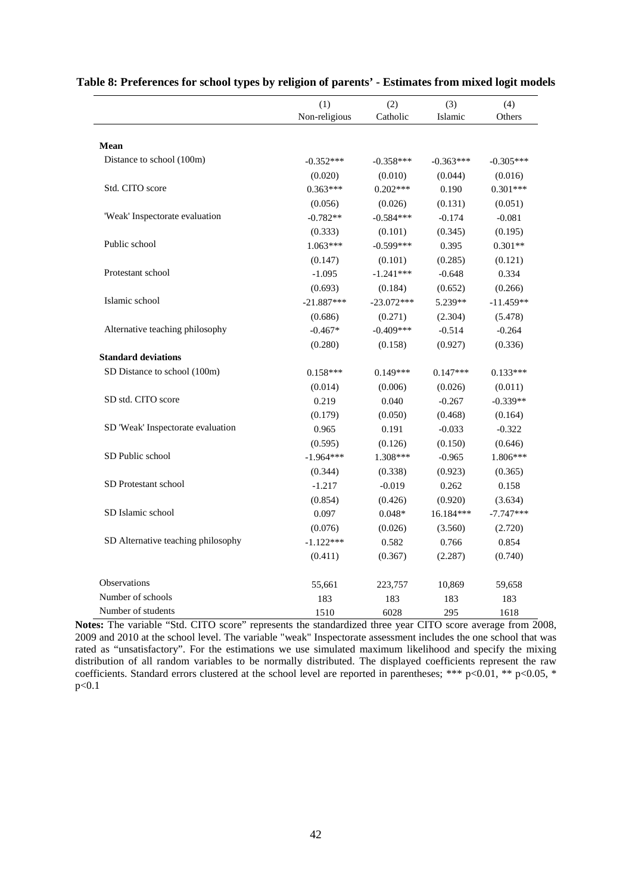|                                    | (1)           | (2)          | (3)         | (4)         |
|------------------------------------|---------------|--------------|-------------|-------------|
|                                    | Non-religious | Catholic     | Islamic     | Others      |
|                                    |               |              |             |             |
| Mean                               |               |              |             |             |
| Distance to school (100m)          | $-0.352***$   | $-0.358***$  | $-0.363***$ | $-0.305***$ |
|                                    | (0.020)       | (0.010)      | (0.044)     | (0.016)     |
| Std. CITO score                    | $0.363***$    | $0.202***$   | 0.190       | $0.301***$  |
|                                    | (0.056)       | (0.026)      | (0.131)     | (0.051)     |
| 'Weak' Inspectorate evaluation     | $-0.782**$    | $-0.584***$  | $-0.174$    | $-0.081$    |
|                                    | (0.333)       | (0.101)      | (0.345)     | (0.195)     |
| Public school                      | $1.063***$    | $-0.599***$  | 0.395       | $0.301**$   |
|                                    | (0.147)       | (0.101)      | (0.285)     | (0.121)     |
| Protestant school                  | $-1.095$      | $-1.241***$  | $-0.648$    | 0.334       |
|                                    | (0.693)       | (0.184)      | (0.652)     | (0.266)     |
| Islamic school                     | $-21.887***$  | $-23.072***$ | 5.239**     | $-11.459**$ |
|                                    | (0.686)       | (0.271)      | (2.304)     | (5.478)     |
| Alternative teaching philosophy    | $-0.467*$     | $-0.409***$  | $-0.514$    | $-0.264$    |
|                                    | (0.280)       | (0.158)      | (0.927)     | (0.336)     |
| <b>Standard deviations</b>         |               |              |             |             |
| SD Distance to school (100m)       | $0.158***$    | $0.149***$   | $0.147***$  | $0.133***$  |
|                                    | (0.014)       | (0.006)      | (0.026)     | (0.011)     |
| SD std. CITO score                 | 0.219         | 0.040        | $-0.267$    | $-0.339**$  |
|                                    | (0.179)       | (0.050)      | (0.468)     | (0.164)     |
| SD 'Weak' Inspectorate evaluation  | 0.965         | 0.191        | $-0.033$    | $-0.322$    |
|                                    | (0.595)       | (0.126)      | (0.150)     | (0.646)     |
| SD Public school                   | $-1.964***$   | 1.308***     | $-0.965$    | 1.806***    |
|                                    | (0.344)       | (0.338)      | (0.923)     | (0.365)     |
| SD Protestant school               | $-1.217$      | $-0.019$     | 0.262       | 0.158       |
|                                    | (0.854)       | (0.426)      | (0.920)     | (3.634)     |
| SD Islamic school                  | 0.097         | $0.048*$     | 16.184***   | $-7.747***$ |
|                                    | (0.076)       | (0.026)      | (3.560)     | (2.720)     |
| SD Alternative teaching philosophy | $-1.122***$   | 0.582        | 0.766       | 0.854       |
|                                    | (0.411)       | (0.367)      | (2.287)     | (0.740)     |
| Observations                       | 55,661        | 223,757      | 10,869      | 59,658      |
| Number of schools                  | 183           | 183          | 183         | 183         |
| Number of students                 | 1510          | 6028         | 295         | 1618        |

#### **Table 8: Preferences for school types by religion of parents' - Estimates from mixed logit models**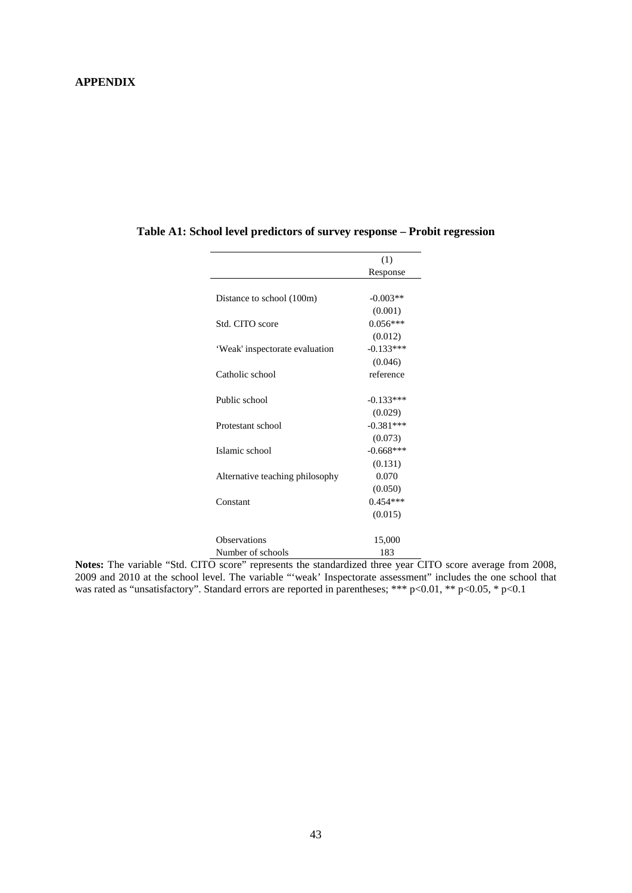#### **APPENDIX**

| (1)         |
|-------------|
| Response    |
|             |
| $-0.003**$  |
| (0.001)     |
| $0.056***$  |
| (0.012)     |
| $-0.133***$ |
| (0.046)     |
| reference   |
|             |
| $-0.133***$ |
| (0.029)     |
| $-0.381***$ |
| (0.073)     |
| $-0.668***$ |
| (0.131)     |
| 0.070       |
| (0.050)     |
| $0.454***$  |
| (0.015)     |
| 15,000      |
| 183         |
|             |

#### **Table A1: School level predictors of survey response – Probit regression**

**Notes:** The variable "Std. CITO score" represents the standardized three year CITO score average from 2008, 2009 and 2010 at the school level. The variable "'weak' Inspectorate assessment" includes the one school that was rated as "unsatisfactory". Standard errors are reported in parentheses; \*\*\* p<0.01, \*\* p<0.05, \* p<0.1